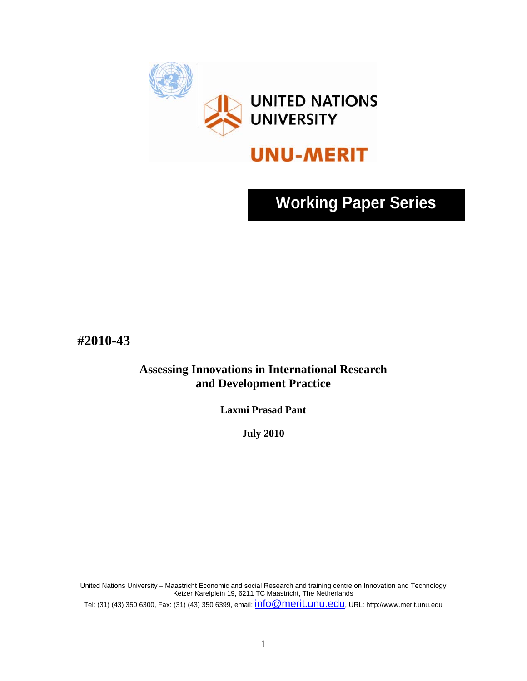

# **Working Paper Series**

**#2010-43** 

**Assessing Innovations in International Research and Development Practice** 

**Laxmi Prasad Pant** 

**July 2010** 

United Nations University – Maastricht Economic and social Research and training centre on Innovation and Technology Keizer Karelplein 19, 6211 TC Maastricht, The Netherlands

Tel: (31) (43) 350 6300, Fax: (31) (43) 350 6399, email: info@merit.unu.edu, URL: http://www.merit.unu.edu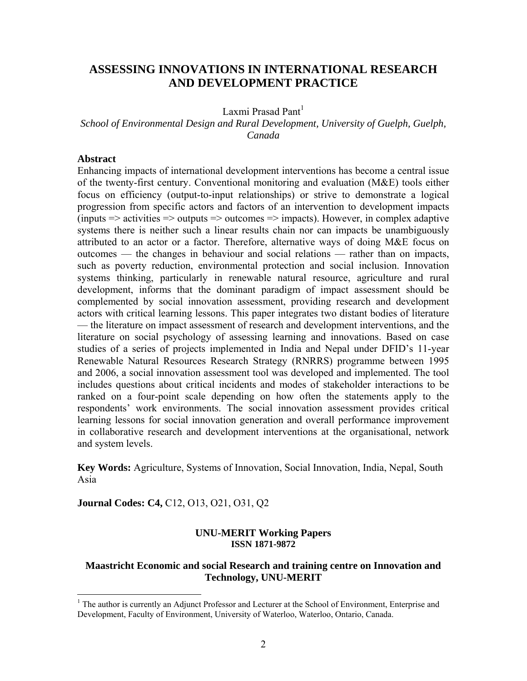# **ASSESSING INNOVATIONS IN INTERNATIONAL RESEARCH AND DEVELOPMENT PRACTICE**

Laxmi Prasad Pant<sup>1</sup>

*School of Environmental Design and Rural Development, University of Guelph, Guelph, Canada* 

#### **Abstract**

 $\overline{a}$ 

Enhancing impacts of international development interventions has become a central issue of the twenty-first century. Conventional monitoring and evaluation (M&E) tools either focus on efficiency (output-to-input relationships) or strive to demonstrate a logical progression from specific actors and factors of an intervention to development impacts (inputs  $\Rightarrow$  activities  $\Rightarrow$  outputs  $\Rightarrow$  outcomes  $\Rightarrow$  impacts). However, in complex adaptive systems there is neither such a linear results chain nor can impacts be unambiguously attributed to an actor or a factor. Therefore, alternative ways of doing M&E focus on outcomes — the changes in behaviour and social relations — rather than on impacts, such as poverty reduction, environmental protection and social inclusion. Innovation systems thinking, particularly in renewable natural resource, agriculture and rural development, informs that the dominant paradigm of impact assessment should be complemented by social innovation assessment, providing research and development actors with critical learning lessons. This paper integrates two distant bodies of literature — the literature on impact assessment of research and development interventions, and the literature on social psychology of assessing learning and innovations. Based on case studies of a series of projects implemented in India and Nepal under DFID's 11-year Renewable Natural Resources Research Strategy (RNRRS) programme between 1995 and 2006, a social innovation assessment tool was developed and implemented. The tool includes questions about critical incidents and modes of stakeholder interactions to be ranked on a four-point scale depending on how often the statements apply to the respondents' work environments. The social innovation assessment provides critical learning lessons for social innovation generation and overall performance improvement in collaborative research and development interventions at the organisational, network and system levels.

**Key Words:** Agriculture, Systems of Innovation, Social Innovation, India, Nepal, South Asia

**Journal Codes: C4,** C12, O13, O21, O31, Q2

#### **UNU-MERIT Working Papers ISSN 1871-9872**

### **Maastricht Economic and social Research and training centre on Innovation and Technology, UNU-MERIT**

<sup>&</sup>lt;sup>1</sup> The author is currently an Adjunct Professor and Lecturer at the School of Environment, Enterprise and Development, Faculty of Environment, University of Waterloo, Waterloo, Ontario, Canada.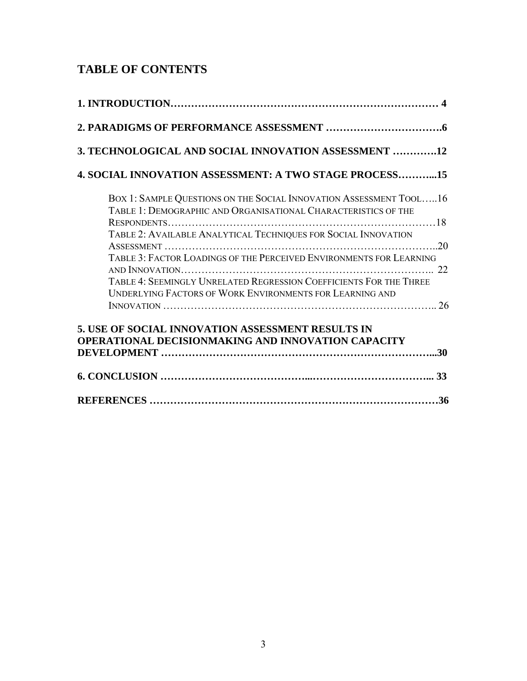# **TABLE OF CONTENTS**

| 3. TECHNOLOGICAL AND SOCIAL INNOVATION ASSESSMENT 12                                                                                                                                                  |
|-------------------------------------------------------------------------------------------------------------------------------------------------------------------------------------------------------|
| <b>4. SOCIAL INNOVATION ASSESSMENT: A TWO STAGE PROCESS15</b>                                                                                                                                         |
| BOX 1: SAMPLE QUESTIONS ON THE SOCIAL INNOVATION ASSESSMENT TOOL16<br>TABLE 1: DEMOGRAPHIC AND ORGANISATIONAL CHARACTERISTICS OF THE                                                                  |
| TABLE 2: AVAILABLE ANALYTICAL TECHNIQUES FOR SOCIAL INNOVATION                                                                                                                                        |
| TABLE 3: FACTOR LOADINGS OF THE PERCEIVED ENVIRONMENTS FOR LEARNING<br>TABLE 4: SEEMINGLY UNRELATED REGRESSION COEFFICIENTS FOR THE THREE<br>UNDERLYING FACTORS OF WORK ENVIRONMENTS FOR LEARNING AND |
|                                                                                                                                                                                                       |
| 5. USE OF SOCIAL INNOVATION ASSESSMENT RESULTS IN                                                                                                                                                     |
| <b>OPERATIONAL DECISIONMAKING AND INNOVATION CAPACITY</b>                                                                                                                                             |
|                                                                                                                                                                                                       |
|                                                                                                                                                                                                       |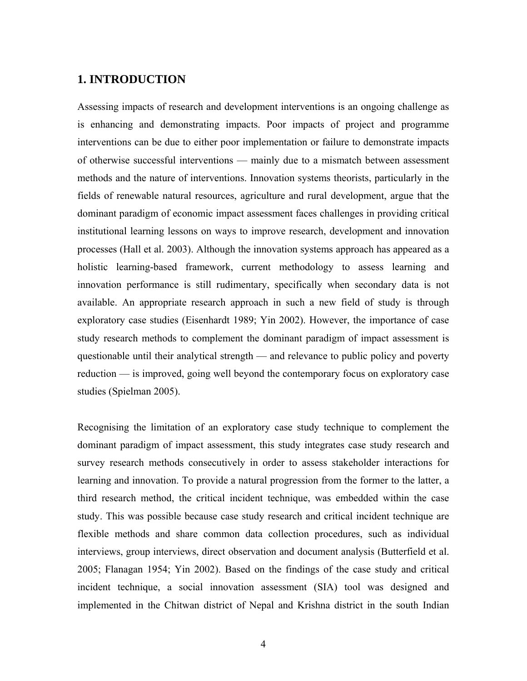# **1. INTRODUCTION**

Assessing impacts of research and development interventions is an ongoing challenge as is enhancing and demonstrating impacts. Poor impacts of project and programme interventions can be due to either poor implementation or failure to demonstrate impacts of otherwise successful interventions — mainly due to a mismatch between assessment methods and the nature of interventions. Innovation systems theorists, particularly in the fields of renewable natural resources, agriculture and rural development, argue that the dominant paradigm of economic impact assessment faces challenges in providing critical institutional learning lessons on ways to improve research, development and innovation processes (Hall et al. 2003). Although the innovation systems approach has appeared as a holistic learning-based framework, current methodology to assess learning and innovation performance is still rudimentary, specifically when secondary data is not available. An appropriate research approach in such a new field of study is through exploratory case studies (Eisenhardt 1989; Yin 2002). However, the importance of case study research methods to complement the dominant paradigm of impact assessment is questionable until their analytical strength — and relevance to public policy and poverty reduction — is improved, going well beyond the contemporary focus on exploratory case studies (Spielman 2005).

Recognising the limitation of an exploratory case study technique to complement the dominant paradigm of impact assessment, this study integrates case study research and survey research methods consecutively in order to assess stakeholder interactions for learning and innovation. To provide a natural progression from the former to the latter, a third research method, the critical incident technique, was embedded within the case study. This was possible because case study research and critical incident technique are flexible methods and share common data collection procedures, such as individual interviews, group interviews, direct observation and document analysis (Butterfield et al. 2005; Flanagan 1954; Yin 2002). Based on the findings of the case study and critical incident technique, a social innovation assessment (SIA) tool was designed and implemented in the Chitwan district of Nepal and Krishna district in the south Indian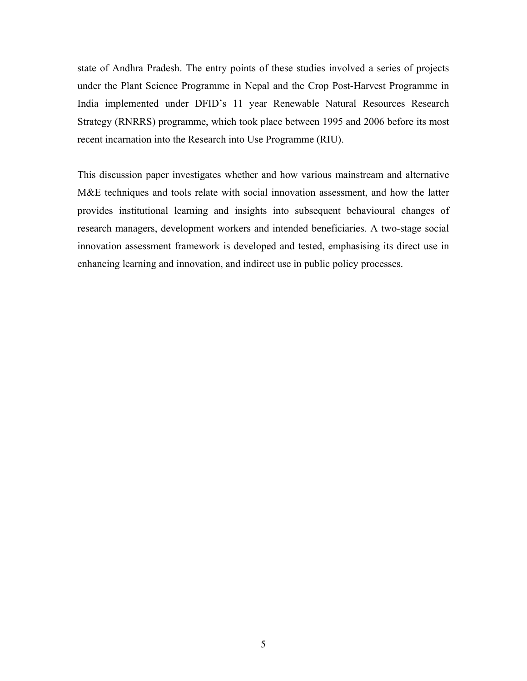state of Andhra Pradesh. The entry points of these studies involved a series of projects under the Plant Science Programme in Nepal and the Crop Post-Harvest Programme in India implemented under DFID's 11 year Renewable Natural Resources Research Strategy (RNRRS) programme, which took place between 1995 and 2006 before its most recent incarnation into the Research into Use Programme (RIU).

This discussion paper investigates whether and how various mainstream and alternative M&E techniques and tools relate with social innovation assessment, and how the latter provides institutional learning and insights into subsequent behavioural changes of research managers, development workers and intended beneficiaries. A two-stage social innovation assessment framework is developed and tested, emphasising its direct use in enhancing learning and innovation, and indirect use in public policy processes.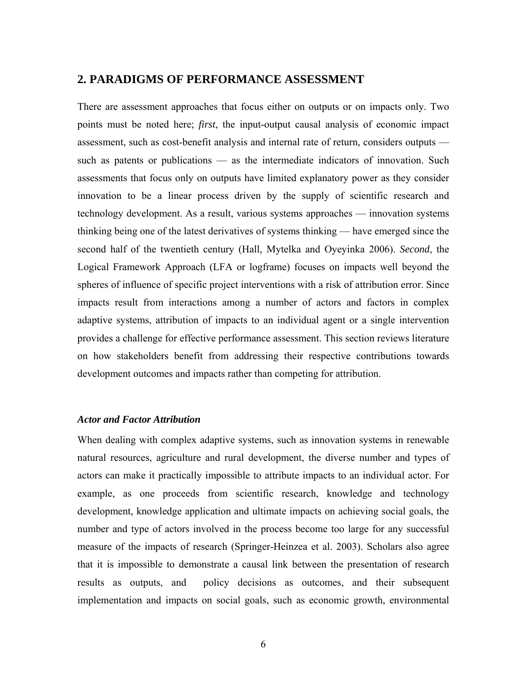# **2. PARADIGMS OF PERFORMANCE ASSESSMENT**

There are assessment approaches that focus either on outputs or on impacts only. Two points must be noted here; *first*, the input-output causal analysis of economic impact assessment, such as cost-benefit analysis and internal rate of return, considers outputs such as patents or publications — as the intermediate indicators of innovation. Such assessments that focus only on outputs have limited explanatory power as they consider innovation to be a linear process driven by the supply of scientific research and technology development. As a result, various systems approaches — innovation systems thinking being one of the latest derivatives of systems thinking — have emerged since the second half of the twentieth century (Hall, Mytelka and Oyeyinka 2006). *Second*, the Logical Framework Approach (LFA or logframe) focuses on impacts well beyond the spheres of influence of specific project interventions with a risk of attribution error. Since impacts result from interactions among a number of actors and factors in complex adaptive systems, attribution of impacts to an individual agent or a single intervention provides a challenge for effective performance assessment. This section reviews literature on how stakeholders benefit from addressing their respective contributions towards development outcomes and impacts rather than competing for attribution.

#### *Actor and Factor Attribution*

When dealing with complex adaptive systems, such as innovation systems in renewable natural resources, agriculture and rural development, the diverse number and types of actors can make it practically impossible to attribute impacts to an individual actor. For example, as one proceeds from scientific research, knowledge and technology development, knowledge application and ultimate impacts on achieving social goals, the number and type of actors involved in the process become too large for any successful measure of the impacts of research (Springer-Heinzea et al. 2003). Scholars also agree that it is impossible to demonstrate a causal link between the presentation of research results as outputs, and policy decisions as outcomes, and their subsequent implementation and impacts on social goals, such as economic growth, environmental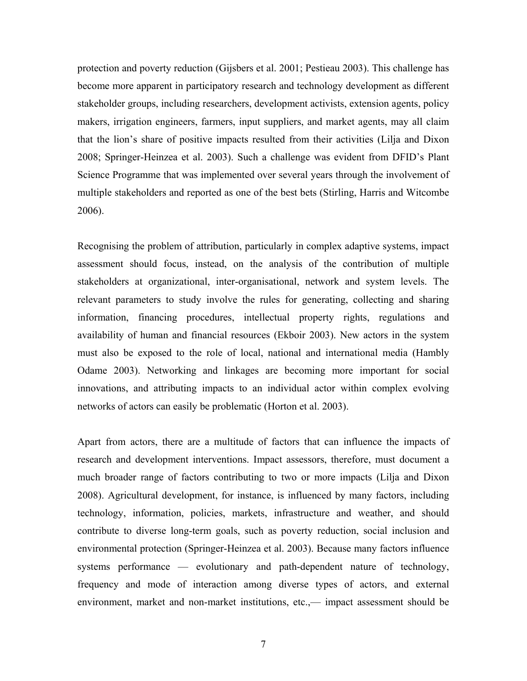protection and poverty reduction (Gijsbers et al. 2001; Pestieau 2003). This challenge has become more apparent in participatory research and technology development as different stakeholder groups, including researchers, development activists, extension agents, policy makers, irrigation engineers, farmers, input suppliers, and market agents, may all claim that the lion's share of positive impacts resulted from their activities (Lilja and Dixon 2008; Springer-Heinzea et al. 2003). Such a challenge was evident from DFID's Plant Science Programme that was implemented over several years through the involvement of multiple stakeholders and reported as one of the best bets (Stirling, Harris and Witcombe 2006).

Recognising the problem of attribution, particularly in complex adaptive systems, impact assessment should focus, instead, on the analysis of the contribution of multiple stakeholders at organizational, inter-organisational, network and system levels. The relevant parameters to study involve the rules for generating, collecting and sharing information, financing procedures, intellectual property rights, regulations and availability of human and financial resources (Ekboir 2003). New actors in the system must also be exposed to the role of local, national and international media (Hambly Odame 2003). Networking and linkages are becoming more important for social innovations, and attributing impacts to an individual actor within complex evolving networks of actors can easily be problematic (Horton et al. 2003).

Apart from actors, there are a multitude of factors that can influence the impacts of research and development interventions. Impact assessors, therefore, must document a much broader range of factors contributing to two or more impacts (Lilja and Dixon 2008). Agricultural development, for instance, is influenced by many factors, including technology, information, policies, markets, infrastructure and weather, and should contribute to diverse long-term goals, such as poverty reduction, social inclusion and environmental protection (Springer-Heinzea et al. 2003). Because many factors influence systems performance — evolutionary and path-dependent nature of technology, frequency and mode of interaction among diverse types of actors, and external environment, market and non-market institutions, etc.,— impact assessment should be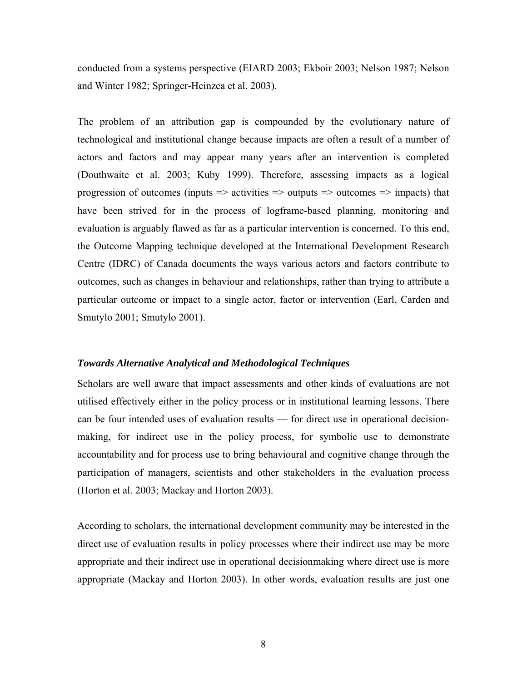conducted from a systems perspective (EIARD 2003; Ekboir 2003; Nelson 1987; Nelson and Winter 1982; Springer-Heinzea et al. 2003).

The problem of an attribution gap is compounded by the evolutionary nature of technological and institutional change because impacts are often a result of a number of actors and factors and may appear many years after an intervention is completed (Douthwaite et al. 2003; Kuby 1999). Therefore, assessing impacts as a logical progression of outcomes (inputs  $\Rightarrow$  activities  $\Rightarrow$  outputs  $\Rightarrow$  outcomes  $\Rightarrow$  impacts) that have been strived for in the process of logframe-based planning, monitoring and evaluation is arguably flawed as far as a particular intervention is concerned. To this end, the Outcome Mapping technique developed at the International Development Research Centre (IDRC) of Canada documents the ways various actors and factors contribute to outcomes, such as changes in behaviour and relationships, rather than trying to attribute a particular outcome or impact to a single actor, factor or intervention (Earl, Carden and Smutylo 2001; Smutylo 2001).

#### *Towards Alternative Analytical and Methodological Techniques*

Scholars are well aware that impact assessments and other kinds of evaluations are not utilised effectively either in the policy process or in institutional learning lessons. There can be four intended uses of evaluation results — for direct use in operational decisionmaking, for indirect use in the policy process, for symbolic use to demonstrate accountability and for process use to bring behavioural and cognitive change through the participation of managers, scientists and other stakeholders in the evaluation process (Horton et al. 2003; Mackay and Horton 2003).

According to scholars, the international development community may be interested in the direct use of evaluation results in policy processes where their indirect use may be more appropriate and their indirect use in operational decisionmaking where direct use is more appropriate (Mackay and Horton 2003). In other words, evaluation results are just one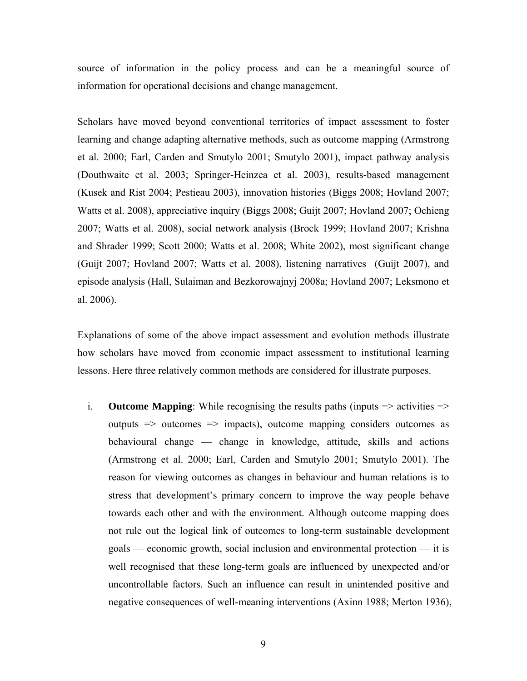source of information in the policy process and can be a meaningful source of information for operational decisions and change management.

Scholars have moved beyond conventional territories of impact assessment to foster learning and change adapting alternative methods, such as outcome mapping (Armstrong et al. 2000; Earl, Carden and Smutylo 2001; Smutylo 2001), impact pathway analysis (Douthwaite et al. 2003; Springer-Heinzea et al. 2003), results-based management (Kusek and Rist 2004; Pestieau 2003), innovation histories (Biggs 2008; Hovland 2007; Watts et al. 2008), appreciative inquiry (Biggs 2008; Guijt 2007; Hovland 2007; Ochieng 2007; Watts et al. 2008), social network analysis (Brock 1999; Hovland 2007; Krishna and Shrader 1999; Scott 2000; Watts et al. 2008; White 2002), most significant change (Guijt 2007; Hovland 2007; Watts et al. 2008), listening narratives (Guijt 2007), and episode analysis (Hall, Sulaiman and Bezkorowajnyj 2008a; Hovland 2007; Leksmono et al. 2006).

Explanations of some of the above impact assessment and evolution methods illustrate how scholars have moved from economic impact assessment to institutional learning lessons. Here three relatively common methods are considered for illustrate purposes.

i. **Outcome Mapping**: While recognising the results paths (inputs  $\Rightarrow$  activities  $\Rightarrow$ outputs => outcomes => impacts), outcome mapping considers outcomes as behavioural change — change in knowledge, attitude, skills and actions (Armstrong et al. 2000; Earl, Carden and Smutylo 2001; Smutylo 2001). The reason for viewing outcomes as changes in behaviour and human relations is to stress that development's primary concern to improve the way people behave towards each other and with the environment. Although outcome mapping does not rule out the logical link of outcomes to long-term sustainable development goals — economic growth, social inclusion and environmental protection — it is well recognised that these long-term goals are influenced by unexpected and/or uncontrollable factors. Such an influence can result in unintended positive and negative consequences of well-meaning interventions (Axinn 1988; Merton 1936),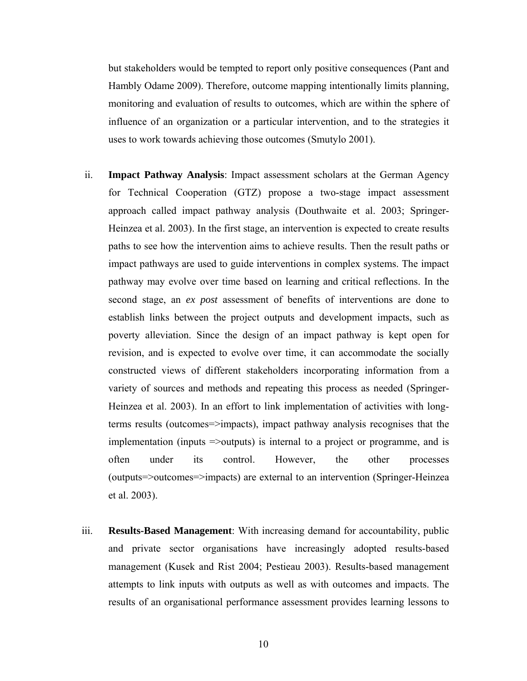but stakeholders would be tempted to report only positive consequences (Pant and Hambly Odame 2009). Therefore, outcome mapping intentionally limits planning, monitoring and evaluation of results to outcomes, which are within the sphere of influence of an organization or a particular intervention, and to the strategies it uses to work towards achieving those outcomes (Smutylo 2001).

- ii. **Impact Pathway Analysis**: Impact assessment scholars at the German Agency for Technical Cooperation (GTZ) propose a two-stage impact assessment approach called impact pathway analysis (Douthwaite et al. 2003; Springer-Heinzea et al. 2003). In the first stage, an intervention is expected to create results paths to see how the intervention aims to achieve results. Then the result paths or impact pathways are used to guide interventions in complex systems. The impact pathway may evolve over time based on learning and critical reflections. In the second stage, an *ex post* assessment of benefits of interventions are done to establish links between the project outputs and development impacts, such as poverty alleviation. Since the design of an impact pathway is kept open for revision, and is expected to evolve over time, it can accommodate the socially constructed views of different stakeholders incorporating information from a variety of sources and methods and repeating this process as needed (Springer-Heinzea et al. 2003). In an effort to link implementation of activities with longterms results (outcomes=>impacts), impact pathway analysis recognises that the implementation (inputs =>outputs) is internal to a project or programme, and is often under its control. However, the other processes (outputs=>outcomes=>impacts) are external to an intervention (Springer-Heinzea et al. 2003).
- iii. **Results-Based Management**: With increasing demand for accountability, public and private sector organisations have increasingly adopted results-based management (Kusek and Rist 2004; Pestieau 2003). Results-based management attempts to link inputs with outputs as well as with outcomes and impacts. The results of an organisational performance assessment provides learning lessons to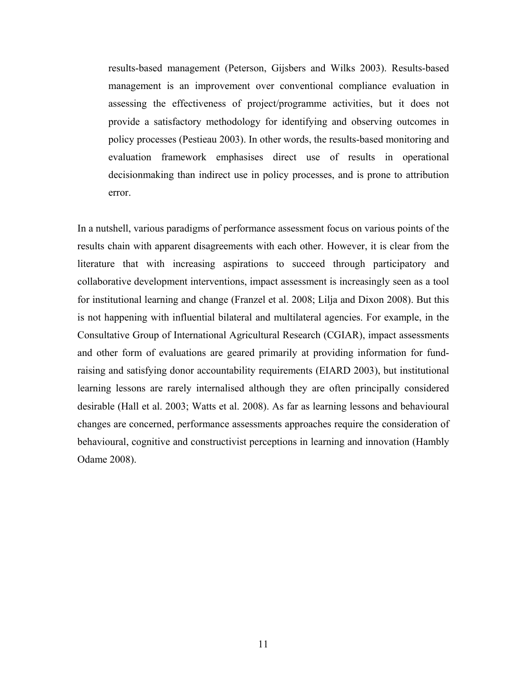results-based management (Peterson, Gijsbers and Wilks 2003). Results-based management is an improvement over conventional compliance evaluation in assessing the effectiveness of project/programme activities, but it does not provide a satisfactory methodology for identifying and observing outcomes in policy processes (Pestieau 2003). In other words, the results-based monitoring and evaluation framework emphasises direct use of results in operational decisionmaking than indirect use in policy processes, and is prone to attribution error.

In a nutshell, various paradigms of performance assessment focus on various points of the results chain with apparent disagreements with each other. However, it is clear from the literature that with increasing aspirations to succeed through participatory and collaborative development interventions, impact assessment is increasingly seen as a tool for institutional learning and change (Franzel et al. 2008; Lilja and Dixon 2008). But this is not happening with influential bilateral and multilateral agencies. For example, in the Consultative Group of International Agricultural Research (CGIAR), impact assessments and other form of evaluations are geared primarily at providing information for fundraising and satisfying donor accountability requirements (EIARD 2003), but institutional learning lessons are rarely internalised although they are often principally considered desirable (Hall et al. 2003; Watts et al. 2008). As far as learning lessons and behavioural changes are concerned, performance assessments approaches require the consideration of behavioural, cognitive and constructivist perceptions in learning and innovation (Hambly Odame 2008).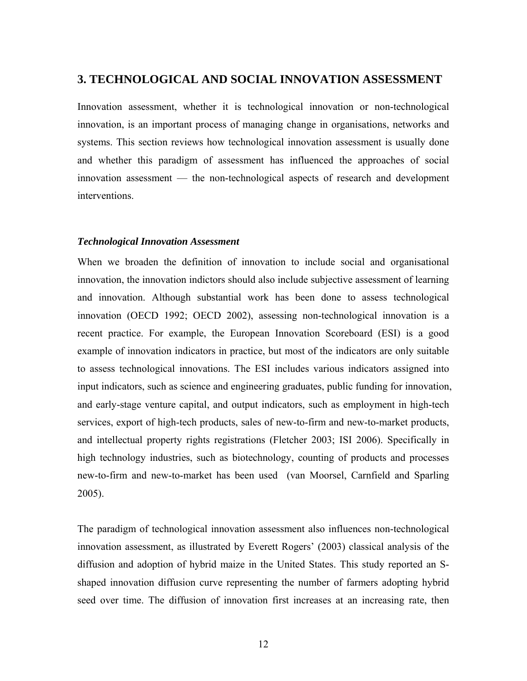# **3. TECHNOLOGICAL AND SOCIAL INNOVATION ASSESSMENT**

Innovation assessment, whether it is technological innovation or non-technological innovation, is an important process of managing change in organisations, networks and systems. This section reviews how technological innovation assessment is usually done and whether this paradigm of assessment has influenced the approaches of social innovation assessment — the non-technological aspects of research and development interventions.

#### *Technological Innovation Assessment*

When we broaden the definition of innovation to include social and organisational innovation, the innovation indictors should also include subjective assessment of learning and innovation. Although substantial work has been done to assess technological innovation (OECD 1992; OECD 2002), assessing non-technological innovation is a recent practice. For example, the European Innovation Scoreboard (ESI) is a good example of innovation indicators in practice, but most of the indicators are only suitable to assess technological innovations. The ESI includes various indicators assigned into input indicators, such as science and engineering graduates, public funding for innovation, and early-stage venture capital, and output indicators, such as employment in high-tech services, export of high-tech products, sales of new-to-firm and new-to-market products, and intellectual property rights registrations (Fletcher 2003; ISI 2006). Specifically in high technology industries, such as biotechnology, counting of products and processes new-to-firm and new-to-market has been used (van Moorsel, Carnfield and Sparling 2005).

The paradigm of technological innovation assessment also influences non-technological innovation assessment, as illustrated by Everett Rogers' (2003) classical analysis of the diffusion and adoption of hybrid maize in the United States. This study reported an Sshaped innovation diffusion curve representing the number of farmers adopting hybrid seed over time. The diffusion of innovation first increases at an increasing rate, then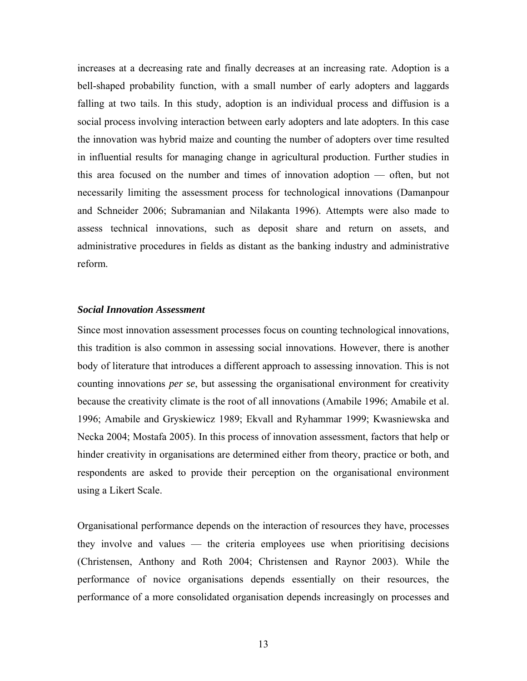increases at a decreasing rate and finally decreases at an increasing rate. Adoption is a bell-shaped probability function, with a small number of early adopters and laggards falling at two tails. In this study, adoption is an individual process and diffusion is a social process involving interaction between early adopters and late adopters. In this case the innovation was hybrid maize and counting the number of adopters over time resulted in influential results for managing change in agricultural production. Further studies in this area focused on the number and times of innovation adoption — often, but not necessarily limiting the assessment process for technological innovations (Damanpour and Schneider 2006; Subramanian and Nilakanta 1996). Attempts were also made to assess technical innovations, such as deposit share and return on assets, and administrative procedures in fields as distant as the banking industry and administrative reform.

#### *Social Innovation Assessment*

Since most innovation assessment processes focus on counting technological innovations, this tradition is also common in assessing social innovations. However, there is another body of literature that introduces a different approach to assessing innovation. This is not counting innovations *per se*, but assessing the organisational environment for creativity because the creativity climate is the root of all innovations (Amabile 1996; Amabile et al. 1996; Amabile and Gryskiewicz 1989; Ekvall and Ryhammar 1999; Kwasniewska and Necka 2004; Mostafa 2005). In this process of innovation assessment, factors that help or hinder creativity in organisations are determined either from theory, practice or both, and respondents are asked to provide their perception on the organisational environment using a Likert Scale.

Organisational performance depends on the interaction of resources they have, processes they involve and values — the criteria employees use when prioritising decisions (Christensen, Anthony and Roth 2004; Christensen and Raynor 2003). While the performance of novice organisations depends essentially on their resources, the performance of a more consolidated organisation depends increasingly on processes and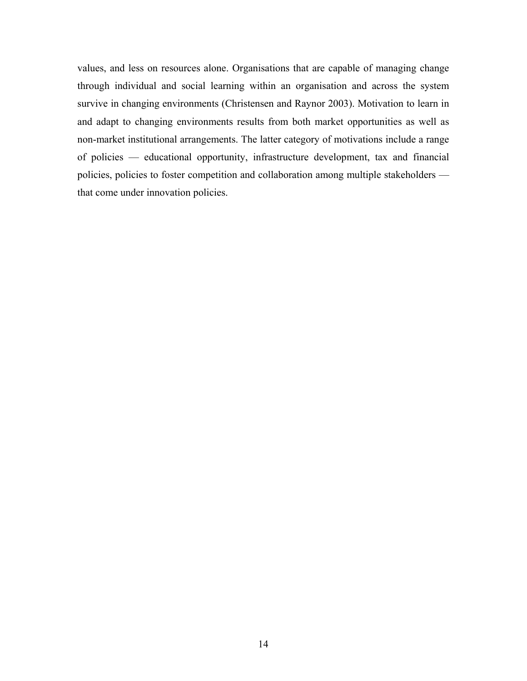values, and less on resources alone. Organisations that are capable of managing change through individual and social learning within an organisation and across the system survive in changing environments (Christensen and Raynor 2003). Motivation to learn in and adapt to changing environments results from both market opportunities as well as non-market institutional arrangements. The latter category of motivations include a range of policies — educational opportunity, infrastructure development, tax and financial policies, policies to foster competition and collaboration among multiple stakeholders that come under innovation policies.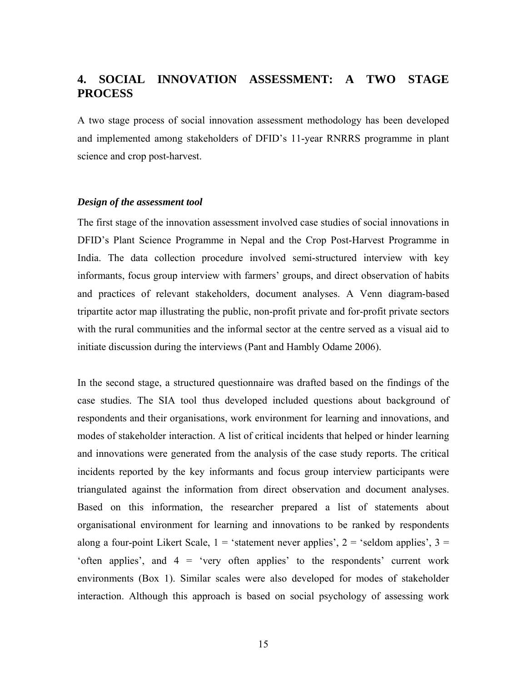# **4. SOCIAL INNOVATION ASSESSMENT: A TWO STAGE PROCESS**

A two stage process of social innovation assessment methodology has been developed and implemented among stakeholders of DFID's 11-year RNRRS programme in plant science and crop post-harvest.

#### *Design of the assessment tool*

The first stage of the innovation assessment involved case studies of social innovations in DFID's Plant Science Programme in Nepal and the Crop Post-Harvest Programme in India. The data collection procedure involved semi-structured interview with key informants, focus group interview with farmers' groups, and direct observation of habits and practices of relevant stakeholders, document analyses. A Venn diagram-based tripartite actor map illustrating the public, non-profit private and for-profit private sectors with the rural communities and the informal sector at the centre served as a visual aid to initiate discussion during the interviews (Pant and Hambly Odame 2006).

In the second stage, a structured questionnaire was drafted based on the findings of the case studies. The SIA tool thus developed included questions about background of respondents and their organisations, work environment for learning and innovations, and modes of stakeholder interaction. A list of critical incidents that helped or hinder learning and innovations were generated from the analysis of the case study reports. The critical incidents reported by the key informants and focus group interview participants were triangulated against the information from direct observation and document analyses. Based on this information, the researcher prepared a list of statements about organisational environment for learning and innovations to be ranked by respondents along a four-point Likert Scale,  $1 =$  'statement never applies',  $2 =$  'seldom applies',  $3 =$ 'often applies', and  $4 =$  'very often applies' to the respondents' current work environments (Box 1). Similar scales were also developed for modes of stakeholder interaction. Although this approach is based on social psychology of assessing work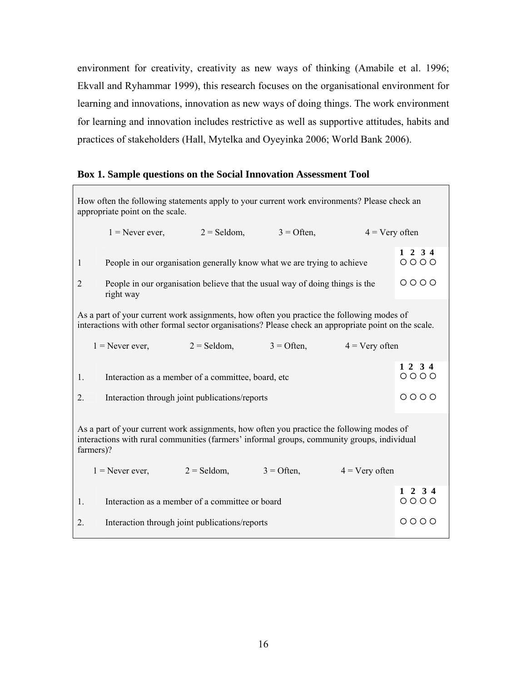environment for creativity, creativity as new ways of thinking (Amabile et al. 1996; Ekvall and Ryhammar 1999), this research focuses on the organisational environment for learning and innovations, innovation as new ways of doing things. The work environment for learning and innovation includes restrictive as well as supportive attitudes, habits and practices of stakeholders (Hall, Mytelka and Oyeyinka 2006; World Bank 2006).

### **Box 1. Sample questions on the Social Innovation Assessment Tool**

| How often the following statements apply to your current work environments? Please check an<br>appropriate point on the scale.                                                                        |                                                                                           |               |              |                   |                           |
|-------------------------------------------------------------------------------------------------------------------------------------------------------------------------------------------------------|-------------------------------------------------------------------------------------------|---------------|--------------|-------------------|---------------------------|
|                                                                                                                                                                                                       | $1 =$ Never ever, $2 =$ Seldom,                                                           |               | $3 =$ Often, | $4 = V$ ery often |                           |
| 1                                                                                                                                                                                                     | People in our organisation generally know what we are trying to achieve                   |               |              |                   | $1 \t2 \t3 \t4$<br>$0000$ |
| $\overline{2}$                                                                                                                                                                                        | People in our organisation believe that the usual way of doing things is the<br>right way |               |              |                   | $0000$                    |
| As a part of your current work assignments, how often you practice the following modes of<br>interactions with other formal sector organisations? Please check an appropriate point on the scale.     |                                                                                           |               |              |                   |                           |
|                                                                                                                                                                                                       | $1 =$ Never ever,                                                                         | $2 =$ Seldom, | $3 =$ Often, | $4 = V$ ery often |                           |
| 1.                                                                                                                                                                                                    | Interaction as a member of a committee, board, etc                                        |               |              |                   | 1 2 3 4<br>$0000$         |
| 2.                                                                                                                                                                                                    | Interaction through joint publications/reports                                            |               |              | $0000$            |                           |
| As a part of your current work assignments, how often you practice the following modes of<br>interactions with rural communities (farmers' informal groups, community groups, individual<br>farmers)? |                                                                                           |               |              |                   |                           |
|                                                                                                                                                                                                       | $1 =$ Never ever, $2 =$ Seldom,                                                           |               | $3 =$ Often, | $4 =$ Very often  |                           |
| 1.                                                                                                                                                                                                    | Interaction as a member of a committee or board                                           |               |              |                   | $1 \t2 \t3 \t4$<br>$0000$ |
| 2.                                                                                                                                                                                                    | Interaction through joint publications/reports                                            |               |              |                   | 0000                      |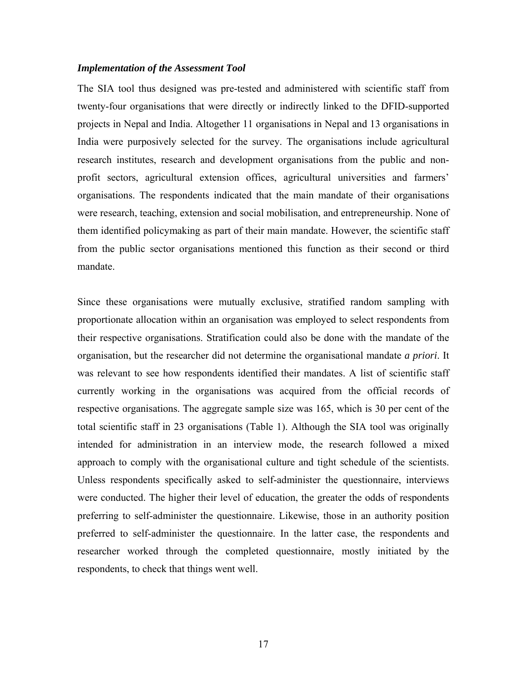#### *Implementation of the Assessment Tool*

The SIA tool thus designed was pre-tested and administered with scientific staff from twenty-four organisations that were directly or indirectly linked to the DFID-supported projects in Nepal and India. Altogether 11 organisations in Nepal and 13 organisations in India were purposively selected for the survey. The organisations include agricultural research institutes, research and development organisations from the public and nonprofit sectors, agricultural extension offices, agricultural universities and farmers' organisations. The respondents indicated that the main mandate of their organisations were research, teaching, extension and social mobilisation, and entrepreneurship. None of them identified policymaking as part of their main mandate. However, the scientific staff from the public sector organisations mentioned this function as their second or third mandate.

Since these organisations were mutually exclusive, stratified random sampling with proportionate allocation within an organisation was employed to select respondents from their respective organisations. Stratification could also be done with the mandate of the organisation, but the researcher did not determine the organisational mandate *a priori*. It was relevant to see how respondents identified their mandates. A list of scientific staff currently working in the organisations was acquired from the official records of respective organisations. The aggregate sample size was 165, which is 30 per cent of the total scientific staff in 23 organisations (Table 1). Although the SIA tool was originally intended for administration in an interview mode, the research followed a mixed approach to comply with the organisational culture and tight schedule of the scientists. Unless respondents specifically asked to self-administer the questionnaire, interviews were conducted. The higher their level of education, the greater the odds of respondents preferring to self-administer the questionnaire. Likewise, those in an authority position preferred to self-administer the questionnaire. In the latter case, the respondents and researcher worked through the completed questionnaire, mostly initiated by the respondents, to check that things went well.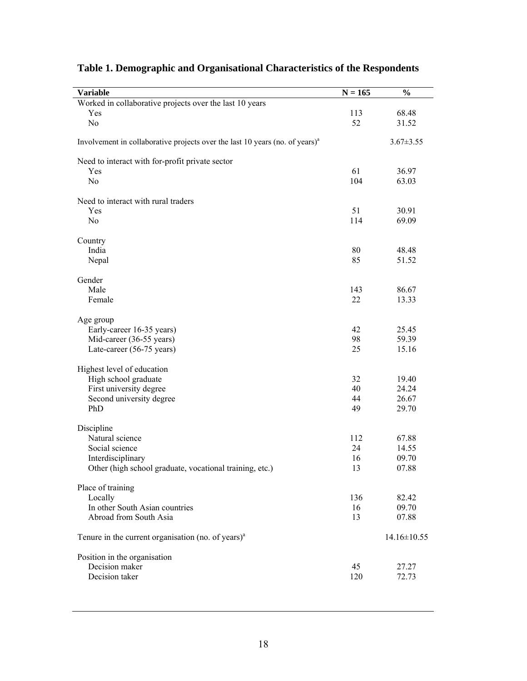| <b>Variable</b>                                                                          | $N = 165$ | $\frac{0}{0}$     |
|------------------------------------------------------------------------------------------|-----------|-------------------|
| Worked in collaborative projects over the last 10 years                                  |           |                   |
| Yes                                                                                      | 113       | 68.48             |
| N <sub>0</sub>                                                                           | 52        | 31.52             |
| Involvement in collaborative projects over the last 10 years (no. of years) <sup>a</sup> |           | $3.67 \pm 3.55$   |
| Need to interact with for-profit private sector                                          |           |                   |
| Yes                                                                                      | 61        | 36.97             |
| N <sub>0</sub>                                                                           | 104       | 63.03             |
| Need to interact with rural traders                                                      |           |                   |
| Yes                                                                                      | 51        | 30.91             |
| N <sub>0</sub>                                                                           | 114       | 69.09             |
| Country                                                                                  |           |                   |
| India                                                                                    | 80        | 48.48             |
| Nepal                                                                                    | 85        | 51.52             |
| Gender                                                                                   |           |                   |
| Male                                                                                     | 143       | 86.67             |
| Female                                                                                   | 22        | 13.33             |
|                                                                                          |           |                   |
| Age group                                                                                | 42        | 25.45             |
| Early-career 16-35 years)<br>Mid-career (36-55 years)                                    | 98        | 59.39             |
| Late-career (56-75 years)                                                                | 25        | 15.16             |
|                                                                                          |           |                   |
| Highest level of education<br>High school graduate                                       | 32        | 19.40             |
| First university degree                                                                  | 40        | 24.24             |
| Second university degree                                                                 | 44        | 26.67             |
| PhD                                                                                      | 49        | 29.70             |
|                                                                                          |           |                   |
| Discipline<br>Natural science                                                            | 112       | 67.88             |
| Social science                                                                           | 24        | 14.55             |
| Interdisciplinary                                                                        | 16        | 09.70             |
| Other (high school graduate, vocational training, etc.)                                  | 13        | 07.88             |
| Place of training                                                                        |           |                   |
| Locally                                                                                  | 136       | 82.42             |
| In other South Asian countries                                                           | 16        | 09.70             |
| Abroad from South Asia                                                                   | 13        | 07.88             |
| Tenure in the current organisation (no. of years) $aa$                                   |           | $14.16 \pm 10.55$ |
| Position in the organisation                                                             |           |                   |
| Decision maker                                                                           | 45        | 27.27             |
| Decision taker                                                                           | 120       | 72.73             |
|                                                                                          |           |                   |

# **Table 1. Demographic and Organisational Characteristics of the Respondents**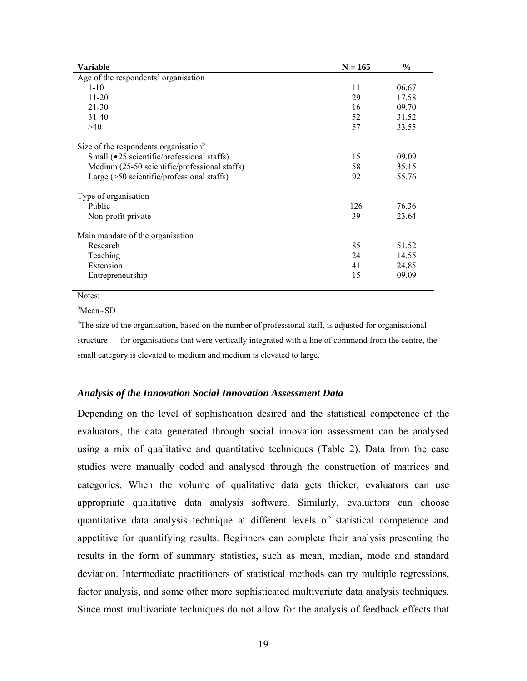| Variable                                             | $N = 165$ | $\frac{6}{9}$ |
|------------------------------------------------------|-----------|---------------|
| Age of the respondents' organisation                 |           |               |
| $1 - 10$                                             | 11        | 06.67         |
| $11 - 20$                                            | 29        | 17.58         |
| $21 - 30$                                            | 16        | 09.70         |
| $31-40$                                              | 52        | 31.52         |
| >40                                                  | 57        | 33.55         |
| Size of the respondents organisation <sup>b</sup>    |           |               |
| Small ( $\bullet$ 25 scientific/professional staffs) | 15        | 09.09         |
| Medium (25-50 scientific/professional staffs)        | 58        | 35.15         |
| Large $($ >50 scientific/professional staffs $)$     | 92        | 55.76         |
| Type of organisation                                 |           |               |
| Public                                               | 126       | 76.36         |
| Non-profit private                                   | 39        | 23.64         |
| Main mandate of the organisation                     |           |               |
| Research                                             | 85        | 51.52         |
| Teaching                                             | 24        | 14.55         |
| Extension                                            | 41        | 24.85         |
| Entrepreneurship                                     | 15        | 09.09         |

Notes:

a Mean±SD

<sup>b</sup>The size of the organisation, based on the number of professional staff, is adjusted for organisational structure — for organisations that were vertically integrated with a line of command from the centre, the small category is elevated to medium and medium is elevated to large.

#### *Analysis of the Innovation Social Innovation Assessment Data*

Depending on the level of sophistication desired and the statistical competence of the evaluators, the data generated through social innovation assessment can be analysed using a mix of qualitative and quantitative techniques (Table 2). Data from the case studies were manually coded and analysed through the construction of matrices and categories. When the volume of qualitative data gets thicker, evaluators can use appropriate qualitative data analysis software. Similarly, evaluators can choose quantitative data analysis technique at different levels of statistical competence and appetitive for quantifying results. Beginners can complete their analysis presenting the results in the form of summary statistics, such as mean, median, mode and standard deviation. Intermediate practitioners of statistical methods can try multiple regressions, factor analysis, and some other more sophisticated multivariate data analysis techniques. Since most multivariate techniques do not allow for the analysis of feedback effects that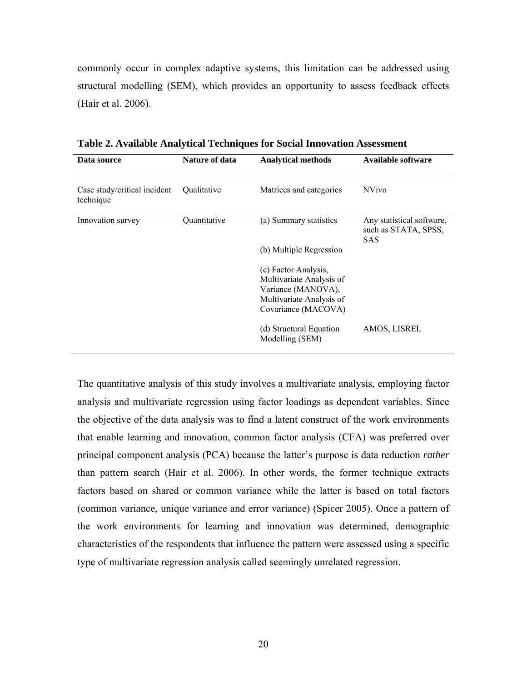commonly occur in complex adaptive systems, this limitation can be addressed using structural modelling (SEM), which provides an opportunity to assess feedback effects (Hair et al. 2006).

| <b>Nature of data</b><br><b>Analytical methods</b><br>Data source |                           |                                                                                                                           | Available software                                              |
|-------------------------------------------------------------------|---------------------------|---------------------------------------------------------------------------------------------------------------------------|-----------------------------------------------------------------|
| Case study/critical incident<br>technique                         | <i><b>Oualitative</b></i> | Matrices and categories                                                                                                   | <b>NVivo</b>                                                    |
| Ouantitative<br>Innovation survey                                 |                           | (a) Summary statistics                                                                                                    | Any statistical software,<br>such as STATA, SPSS,<br><b>SAS</b> |
|                                                                   |                           | (b) Multiple Regression                                                                                                   |                                                                 |
|                                                                   |                           | (c) Factor Analysis,<br>Multivariate Analysis of<br>Variance (MANOVA),<br>Multivariate Analysis of<br>Covariance (MACOVA) |                                                                 |
|                                                                   |                           | (d) Structural Equation<br>Modelling (SEM)                                                                                | AMOS, LISREL                                                    |

**Table 2. Available Analytical Techniques for Social Innovation Assessment**

The quantitative analysis of this study involves a multivariate analysis, employing factor analysis and multivariate regression using factor loadings as dependent variables. Since the objective of the data analysis was to find a latent construct of the work environments that enable learning and innovation, common factor analysis (CFA) was preferred over principal component analysis (PCA) because the latter's purpose is data reduction *rather* than pattern search (Hair et al. 2006). In other words, the former technique extracts factors based on shared or common variance while the latter is based on total factors (common variance, unique variance and error variance) (Spicer 2005). Once a pattern of the work environments for learning and innovation was determined, demographic characteristics of the respondents that influence the pattern were assessed using a specific type of multivariate regression analysis called seemingly unrelated regression.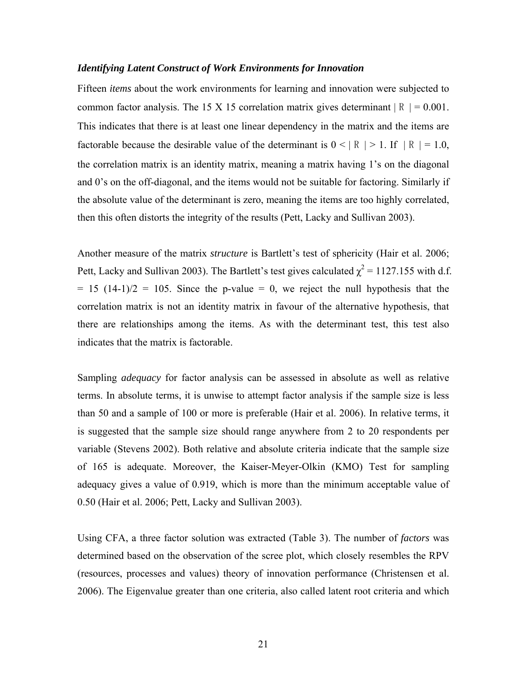#### *Identifying Latent Construct of Work Environments for Innovation*

Fifteen *items* about the work environments for learning and innovation were subjected to common factor analysis. The 15 X 15 correlation matrix gives determinant  $|R| = 0.001$ . This indicates that there is at least one linear dependency in the matrix and the items are factorable because the desirable value of the determinant is  $0 < |R| > 1$ . If  $|R| = 1.0$ , the correlation matrix is an identity matrix, meaning a matrix having 1's on the diagonal and 0's on the off-diagonal, and the items would not be suitable for factoring. Similarly if the absolute value of the determinant is zero, meaning the items are too highly correlated, then this often distorts the integrity of the results (Pett, Lacky and Sullivan 2003).

Another measure of the matrix *structure* is Bartlett's test of sphericity (Hair et al. 2006; Pett, Lacky and Sullivan 2003). The Bartlett's test gives calculated  $\chi^2 = 1127.155$  with d.f.  $= 15$  (14-1)/2 = 105. Since the p-value = 0, we reject the null hypothesis that the correlation matrix is not an identity matrix in favour of the alternative hypothesis, that there are relationships among the items. As with the determinant test, this test also indicates that the matrix is factorable.

Sampling *adequacy* for factor analysis can be assessed in absolute as well as relative terms. In absolute terms, it is unwise to attempt factor analysis if the sample size is less than 50 and a sample of 100 or more is preferable (Hair et al. 2006). In relative terms, it is suggested that the sample size should range anywhere from 2 to 20 respondents per variable (Stevens 2002). Both relative and absolute criteria indicate that the sample size of 165 is adequate. Moreover, the Kaiser-Meyer-Olkin (KMO) Test for sampling adequacy gives a value of 0.919, which is more than the minimum acceptable value of 0.50 (Hair et al. 2006; Pett, Lacky and Sullivan 2003).

Using CFA, a three factor solution was extracted (Table 3). The number of *factors* was determined based on the observation of the scree plot, which closely resembles the RPV (resources, processes and values) theory of innovation performance (Christensen et al. 2006). The Eigenvalue greater than one criteria, also called latent root criteria and which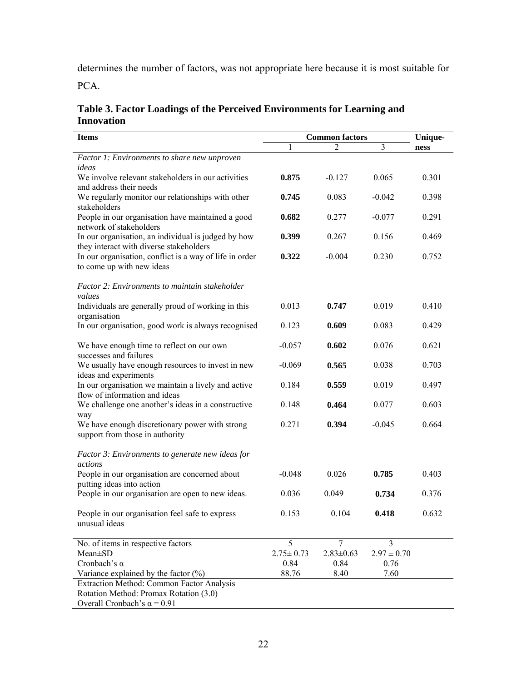determines the number of factors, was not appropriate here because it is most suitable for

PCA.

| Table 3. Factor Loadings of the Perceived Environments for Learning and |
|-------------------------------------------------------------------------|
| <b>Innovation</b>                                                       |

| <b>Items</b>                                            | <b>Common factors</b> |                 |                 | Unique- |  |
|---------------------------------------------------------|-----------------------|-----------------|-----------------|---------|--|
|                                                         |                       | 2               | 3               | ness    |  |
| Factor 1: Environments to share new unproven            |                       |                 |                 |         |  |
| ideas                                                   |                       |                 |                 |         |  |
| We involve relevant stakeholders in our activities      | 0.875                 | $-0.127$        | 0.065           | 0.301   |  |
| and address their needs                                 |                       |                 |                 |         |  |
| We regularly monitor our relationships with other       | 0.745                 | 0.083           | $-0.042$        | 0.398   |  |
| stakeholders                                            |                       |                 |                 |         |  |
| People in our organisation have maintained a good       | 0.682                 | 0.277           | $-0.077$        | 0.291   |  |
| network of stakeholders                                 |                       |                 |                 |         |  |
| In our organisation, an individual is judged by how     | 0.399                 | 0.267           | 0.156           | 0.469   |  |
| they interact with diverse stakeholders                 |                       |                 |                 |         |  |
| In our organisation, conflict is a way of life in order | 0.322                 | $-0.004$        | 0.230           | 0.752   |  |
| to come up with new ideas                               |                       |                 |                 |         |  |
| Factor 2: Environments to maintain stakeholder          |                       |                 |                 |         |  |
| values                                                  |                       |                 |                 |         |  |
| Individuals are generally proud of working in this      | 0.013                 | 0.747           | 0.019           | 0.410   |  |
| organisation                                            |                       |                 |                 |         |  |
| In our organisation, good work is always recognised     | 0.123                 | 0.609           | 0.083           | 0.429   |  |
|                                                         |                       |                 |                 |         |  |
| We have enough time to reflect on our own               | $-0.057$              | 0.602           | 0.076           | 0.621   |  |
| successes and failures                                  |                       |                 |                 |         |  |
| We usually have enough resources to invest in new       | $-0.069$              | 0.565           | 0.038           | 0.703   |  |
| ideas and experiments                                   |                       |                 |                 |         |  |
| In our organisation we maintain a lively and active     | 0.184                 | 0.559           | 0.019           | 0.497   |  |
| flow of information and ideas                           |                       |                 |                 |         |  |
|                                                         | 0.148                 | 0.464           | 0.077           | 0.603   |  |
| We challenge one another's ideas in a constructive      |                       |                 |                 |         |  |
| way                                                     |                       |                 |                 |         |  |
| We have enough discretionary power with strong          | 0.271                 | 0.394           | $-0.045$        | 0.664   |  |
| support from those in authority                         |                       |                 |                 |         |  |
| Factor 3: Environments to generate new ideas for        |                       |                 |                 |         |  |
| actions                                                 |                       |                 |                 |         |  |
| People in our organisation are concerned about          | $-0.048$              | 0.026           | 0.785           | 0.403   |  |
| putting ideas into action                               |                       |                 |                 |         |  |
| People in our organisation are open to new ideas.       | 0.036                 | 0.049           | 0.734           | 0.376   |  |
|                                                         |                       |                 |                 |         |  |
| People in our organisation feel safe to express         | 0.153                 | 0.104           | 0.418           | 0.632   |  |
| unusual ideas                                           |                       |                 |                 |         |  |
|                                                         |                       |                 |                 |         |  |
| No. of items in respective factors                      | 5                     | 7               | 3               |         |  |
| Mean±SD                                                 | $2.75 \pm 0.73$       | $2.83 \pm 0.63$ | $2.97 \pm 0.70$ |         |  |
| Cronbach's $\alpha$                                     | 0.84                  | 0.84            | 0.76            |         |  |
| Variance explained by the factor $(\%)$                 | 88.76                 | 8.40            | 7.60            |         |  |
|                                                         |                       |                 |                 |         |  |
| Extraction Method: Common Factor Analysis               |                       |                 |                 |         |  |
| Rotation Method: Promax Rotation (3.0)                  |                       |                 |                 |         |  |
| Overall Cronbach's $\alpha$ = 0.91                      |                       |                 |                 |         |  |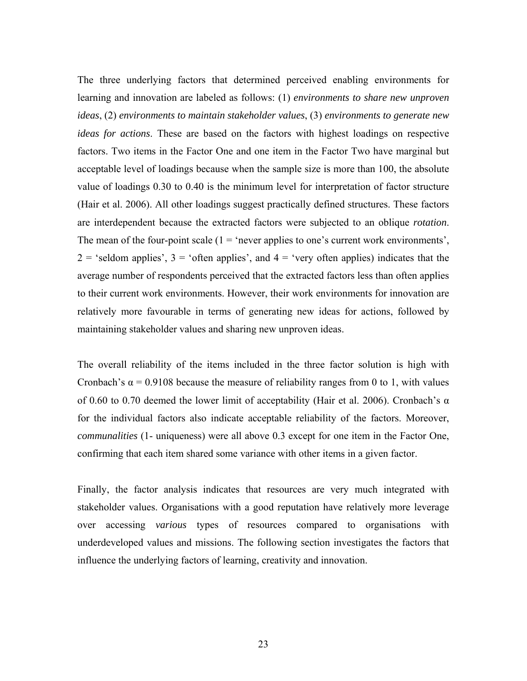The three underlying factors that determined perceived enabling environments for learning and innovation are labeled as follows: (1) *environments to share new unproven ideas*, (2) *environments to maintain stakeholder values*, (3) *environments to generate new ideas for actions*. These are based on the factors with highest loadings on respective factors. Two items in the Factor One and one item in the Factor Two have marginal but acceptable level of loadings because when the sample size is more than 100, the absolute value of loadings 0.30 to 0.40 is the minimum level for interpretation of factor structure (Hair et al. 2006). All other loadings suggest practically defined structures. These factors are interdependent because the extracted factors were subjected to an oblique *rotation*. The mean of the four-point scale  $(1 = 'never$  applies to one's current work environments',  $2 =$  'seldom applies',  $3 =$  'often applies', and  $4 =$  'very often applies) indicates that the average number of respondents perceived that the extracted factors less than often applies to their current work environments. However, their work environments for innovation are relatively more favourable in terms of generating new ideas for actions, followed by maintaining stakeholder values and sharing new unproven ideas.

The overall reliability of the items included in the three factor solution is high with Cronbach's  $\alpha$  = 0.9108 because the measure of reliability ranges from 0 to 1, with values of 0.60 to 0.70 deemed the lower limit of acceptability (Hair et al. 2006). Cronbach's  $\alpha$ for the individual factors also indicate acceptable reliability of the factors. Moreover, *communalities* (1- uniqueness) were all above 0.3 except for one item in the Factor One, confirming that each item shared some variance with other items in a given factor.

Finally, the factor analysis indicates that resources are very much integrated with stakeholder values. Organisations with a good reputation have relatively more leverage over accessing *various* types of resources compared to organisations with underdeveloped values and missions. The following section investigates the factors that influence the underlying factors of learning, creativity and innovation.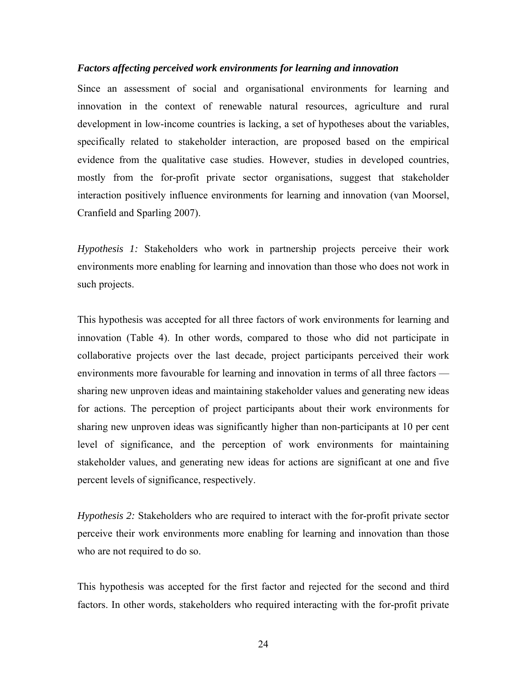#### *Factors affecting perceived work environments for learning and innovation*

Since an assessment of social and organisational environments for learning and innovation in the context of renewable natural resources, agriculture and rural development in low-income countries is lacking, a set of hypotheses about the variables, specifically related to stakeholder interaction, are proposed based on the empirical evidence from the qualitative case studies. However, studies in developed countries, mostly from the for-profit private sector organisations, suggest that stakeholder interaction positively influence environments for learning and innovation (van Moorsel, Cranfield and Sparling 2007).

*Hypothesis 1:* Stakeholders who work in partnership projects perceive their work environments more enabling for learning and innovation than those who does not work in such projects.

This hypothesis was accepted for all three factors of work environments for learning and innovation (Table 4). In other words, compared to those who did not participate in collaborative projects over the last decade, project participants perceived their work environments more favourable for learning and innovation in terms of all three factors sharing new unproven ideas and maintaining stakeholder values and generating new ideas for actions. The perception of project participants about their work environments for sharing new unproven ideas was significantly higher than non-participants at 10 per cent level of significance, and the perception of work environments for maintaining stakeholder values, and generating new ideas for actions are significant at one and five percent levels of significance, respectively.

*Hypothesis 2:* Stakeholders who are required to interact with the for-profit private sector perceive their work environments more enabling for learning and innovation than those who are not required to do so.

This hypothesis was accepted for the first factor and rejected for the second and third factors. In other words, stakeholders who required interacting with the for-profit private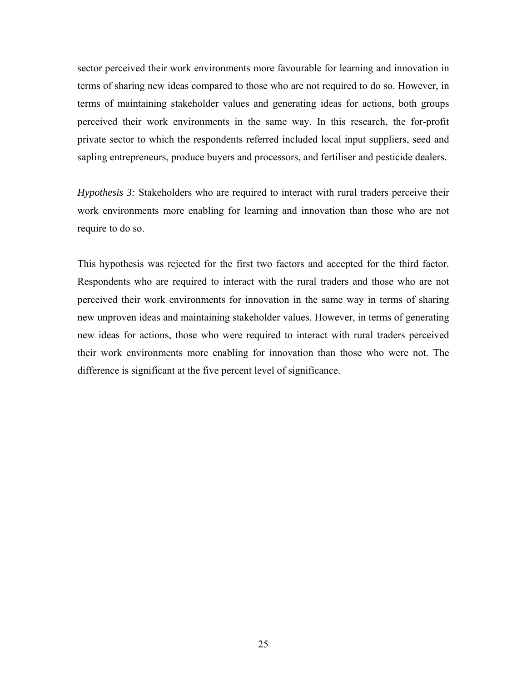sector perceived their work environments more favourable for learning and innovation in terms of sharing new ideas compared to those who are not required to do so. However, in terms of maintaining stakeholder values and generating ideas for actions, both groups perceived their work environments in the same way. In this research, the for-profit private sector to which the respondents referred included local input suppliers, seed and sapling entrepreneurs, produce buyers and processors, and fertiliser and pesticide dealers.

*Hypothesis 3:* Stakeholders who are required to interact with rural traders perceive their work environments more enabling for learning and innovation than those who are not require to do so.

This hypothesis was rejected for the first two factors and accepted for the third factor. Respondents who are required to interact with the rural traders and those who are not perceived their work environments for innovation in the same way in terms of sharing new unproven ideas and maintaining stakeholder values. However, in terms of generating new ideas for actions, those who were required to interact with rural traders perceived their work environments more enabling for innovation than those who were not. The difference is significant at the five percent level of significance.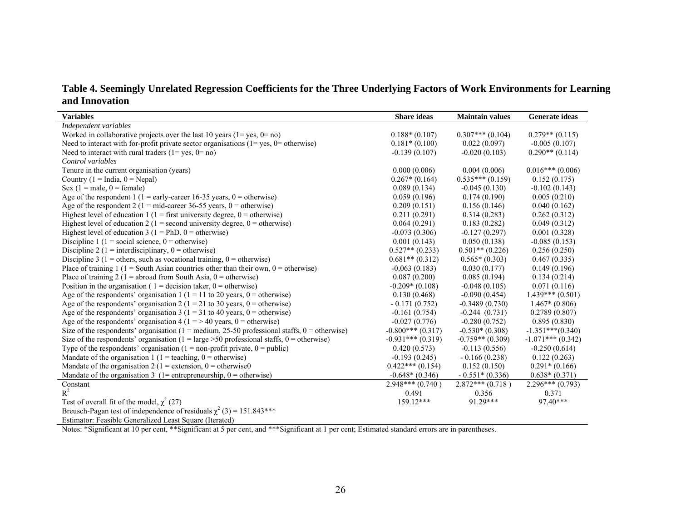**Table 4. Seemingly Unrelated Regression Coefficients for the Three Underlying Factors of Work Environments for Learning and Innovation** 

| <b>Variables</b>                                                                                              | <b>Share</b> ideas  | <b>Maintain values</b> | Generate ideas      |
|---------------------------------------------------------------------------------------------------------------|---------------------|------------------------|---------------------|
| Independent variables                                                                                         |                     |                        |                     |
| Worked in collaborative projects over the last 10 years $(1 = yes, 0 = no)$                                   | $0.188*(0.107)$     | $0.307***(0.104)$      | $0.279**$ (0.115)   |
| Need to interact with for-profit private sector organisations $(1 = yes, 0 = otherwise)$                      | $0.181*(0.100)$     | 0.022(0.097)           | $-0.005(0.107)$     |
| Need to interact with rural traders $(1 = yes, 0 = no)$                                                       | $-0.139(0.107)$     | $-0.020(0.103)$        | $0.290**$ (0.114)   |
| Control variables                                                                                             |                     |                        |                     |
| Tenure in the current organisation (years)                                                                    | 0.000(0.006)        | 0.004(0.006)           | $0.016***(0.006)$   |
| Country ( $1 = India$ , $0 = Nepal$ )                                                                         | $0.267*(0.164)$     | $0.535***(0.159)$      | 0.152(0.175)        |
| Sex $(1 = male, 0 = female)$                                                                                  | 0.089(0.134)        | $-0.045(0.130)$        | $-0.102(0.143)$     |
| Age of the respondent 1 (1 = early-career 16-35 years, 0 = otherwise)                                         | 0.059(0.196)        | 0.174(0.190)           | 0.005(0.210)        |
| Age of the respondent 2 (1 = mid-career 36-55 years, 0 = otherwise)                                           | 0.209(0.151)        | 0.156(0.146)           | 0.040(0.162)        |
| Highest level of education 1 (1 = first university degree, $0 =$ otherwise)                                   | 0.211(0.291)        | 0.314(0.283)           | 0.262(0.312)        |
| Highest level of education 2 (1 = second university degree, $0 =$ otherwise)                                  | 0.064(0.291)        | 0.183(0.282)           | 0.049(0.312)        |
| Highest level of education 3 ( $1 = PhD$ , $0 = otherwise$ )                                                  | $-0.073(0.306)$     | $-0.127(0.297)$        | 0.001(0.328)        |
| Discipline 1 (1 = social science, $0 =$ otherwise)                                                            | 0.001(0.143)        | 0.050(0.138)           | $-0.085(0.153)$     |
| Discipline 2 (1 = interdisciplinary, $0 =$ otherwise)                                                         | $0.527**$ (0.233)   | $0.501**$ (0.226)      | 0.256(0.250)        |
| Discipline 3 (1 = others, such as vocational training, $0 =$ otherwise)                                       | $0.681**$ (0.312)   | $0.565*(0.303)$        | 0.467(0.335)        |
| Place of training 1 (1 = South Asian countries other than their own, $0 =$ otherwise)                         | $-0.063(0.183)$     | 0.030(0.177)           | 0.149(0.196)        |
| Place of training 2 (1 = abroad from South Asia, $0 =$ otherwise)                                             | 0.087(0.200)        | 0.085(0.194)           | 0.134(0.214)        |
| Position in the organisation ( $1 =$ decision taker, $0 =$ otherwise)                                         | $-0.209*(0.108)$    | $-0.048(0.105)$        | 0.071(0.116)        |
| Age of the respondents' organisation 1 ( $1 = 11$ to 20 years, $0 =$ otherwise)                               | 0.130(0.468)        | $-0.090(0.454)$        | $1.439***(0.501)$   |
| Age of the respondents' organisation 2 ( $1 = 21$ to 30 years, $0 =$ otherwise)                               | $-0.171(0.752)$     | $-0.3489(0.730)$       | $1.467*(0.806)$     |
| Age of the respondents' organisation 3 ( $1 = 31$ to 40 years, $0 =$ otherwise)                               | $-0.161(0.754)$     | $-0.244(0.731)$        | 0.2789(0.807)       |
| Age of the respondents' organisation 4 ( $1 = > 40$ years, $0 =$ otherwise)                                   | $-0.027(0.776)$     | $-0.280(0.752)$        | 0.895(0.830)        |
| Size of the respondents' organisation (1 = medium, 25-50 professional staffs, $0 =$ otherwise)                | $-0.800***(0.317)$  | $-0.530*(0.308)$       | $-1.351***(0.340)$  |
| Size of the respondents' organisation ( $1 = \text{large} > 50$ professional staffs, $0 = \text{otherwise}$ ) | $-0.931***$ (0.319) | $-0.759**$ (0.309)     | $-1.071***$ (0.342) |
| Type of the respondents' organisation ( $1 =$ non-profit private, $0 =$ public)                               | 0.420(0.573)        | $-0.113(0.556)$        | $-0.250(0.614)$     |
| Mandate of the organisation 1 (1 = teaching, 0 = otherwise)                                                   | $-0.193(0.245)$     | $-0.166(0.238)$        | 0.122(0.263)        |
| Mandate of the organisation 2 (1 = extension, 0 = otherwise0                                                  | $0.422***(0.154)$   | 0.152(0.150)           | $0.291*(0.166)$     |
| Mandate of the organisation 3 (1= entrepreneurship, $0 =$ otherwise)                                          | $-0.648*(0.346)$    | $-0.551*(0.336)$       | $0.638*(0.371)$     |
| Constant                                                                                                      | $2.948***(0.740)$   | $2.872***$ (0.718)     | $2.296***(0.793)$   |
| $R^2$                                                                                                         | 0.491               | 0.356                  | 0.371               |
| Test of overall fit of the model, $\chi^2$ (27)                                                               | $159.12***$         | 91.29***               | 97.40***            |
| Breusch-Pagan test of independence of residuals $\chi^2$ (3) = 151.843***                                     |                     |                        |                     |
| Estimator: Feasible Generalized Least Square (Iterated)                                                       |                     |                        |                     |

Notes: \*Significant at 10 per cent, \*\*Significant at 5 per cent, and \*\*\*Significant at 1 per cent; Estimated standard errors are in parentheses.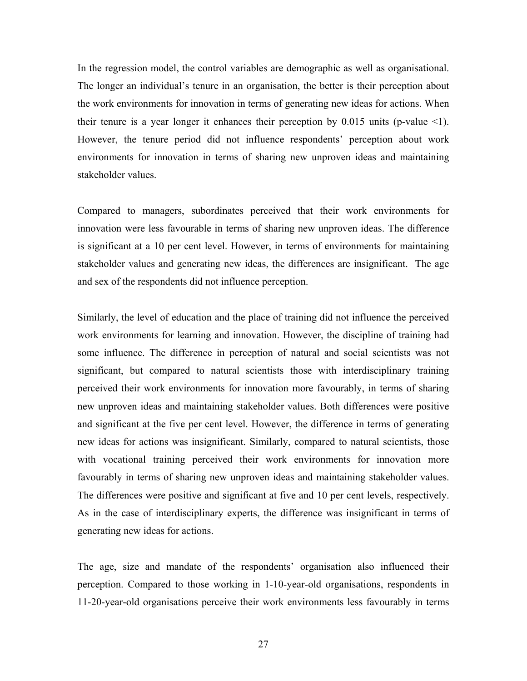In the regression model, the control variables are demographic as well as organisational. The longer an individual's tenure in an organisation, the better is their perception about the work environments for innovation in terms of generating new ideas for actions. When their tenure is a year longer it enhances their perception by  $0.015$  units (p-value  $\leq 1$ ). However, the tenure period did not influence respondents' perception about work environments for innovation in terms of sharing new unproven ideas and maintaining stakeholder values.

Compared to managers, subordinates perceived that their work environments for innovation were less favourable in terms of sharing new unproven ideas. The difference is significant at a 10 per cent level. However, in terms of environments for maintaining stakeholder values and generating new ideas, the differences are insignificant. The age and sex of the respondents did not influence perception.

Similarly, the level of education and the place of training did not influence the perceived work environments for learning and innovation. However, the discipline of training had some influence. The difference in perception of natural and social scientists was not significant, but compared to natural scientists those with interdisciplinary training perceived their work environments for innovation more favourably, in terms of sharing new unproven ideas and maintaining stakeholder values. Both differences were positive and significant at the five per cent level. However, the difference in terms of generating new ideas for actions was insignificant. Similarly, compared to natural scientists, those with vocational training perceived their work environments for innovation more favourably in terms of sharing new unproven ideas and maintaining stakeholder values. The differences were positive and significant at five and 10 per cent levels, respectively. As in the case of interdisciplinary experts, the difference was insignificant in terms of generating new ideas for actions.

The age, size and mandate of the respondents' organisation also influenced their perception. Compared to those working in 1-10-year-old organisations, respondents in 11-20-year-old organisations perceive their work environments less favourably in terms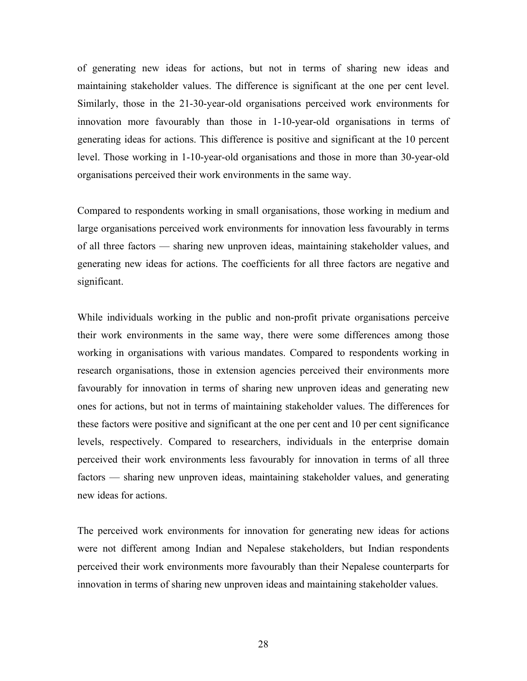of generating new ideas for actions, but not in terms of sharing new ideas and maintaining stakeholder values. The difference is significant at the one per cent level. Similarly, those in the 21-30-year-old organisations perceived work environments for innovation more favourably than those in 1-10-year-old organisations in terms of generating ideas for actions. This difference is positive and significant at the 10 percent level. Those working in 1-10-year-old organisations and those in more than 30-year-old organisations perceived their work environments in the same way.

Compared to respondents working in small organisations, those working in medium and large organisations perceived work environments for innovation less favourably in terms of all three factors — sharing new unproven ideas, maintaining stakeholder values, and generating new ideas for actions. The coefficients for all three factors are negative and significant.

While individuals working in the public and non-profit private organisations perceive their work environments in the same way, there were some differences among those working in organisations with various mandates. Compared to respondents working in research organisations, those in extension agencies perceived their environments more favourably for innovation in terms of sharing new unproven ideas and generating new ones for actions, but not in terms of maintaining stakeholder values. The differences for these factors were positive and significant at the one per cent and 10 per cent significance levels, respectively. Compared to researchers, individuals in the enterprise domain perceived their work environments less favourably for innovation in terms of all three factors — sharing new unproven ideas, maintaining stakeholder values, and generating new ideas for actions.

The perceived work environments for innovation for generating new ideas for actions were not different among Indian and Nepalese stakeholders, but Indian respondents perceived their work environments more favourably than their Nepalese counterparts for innovation in terms of sharing new unproven ideas and maintaining stakeholder values.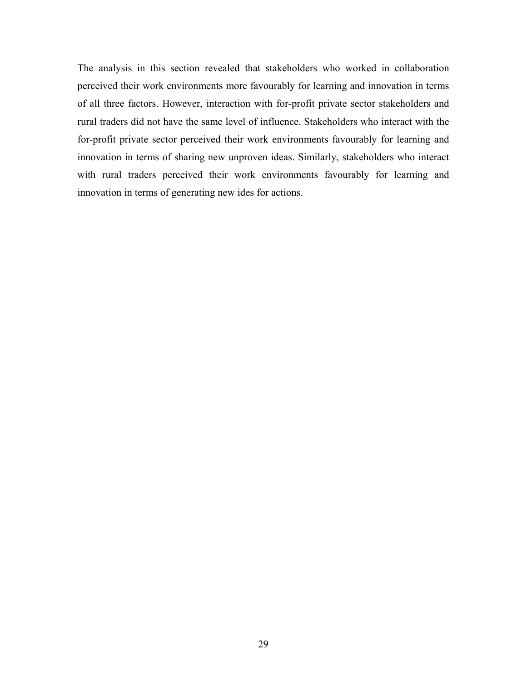The analysis in this section revealed that stakeholders who worked in collaboration perceived their work environments more favourably for learning and innovation in terms of all three factors. However, interaction with for-profit private sector stakeholders and rural traders did not have the same level of influence. Stakeholders who interact with the for-profit private sector perceived their work environments favourably for learning and innovation in terms of sharing new unproven ideas. Similarly, stakeholders who interact with rural traders perceived their work environments favourably for learning and innovation in terms of generating new ides for actions.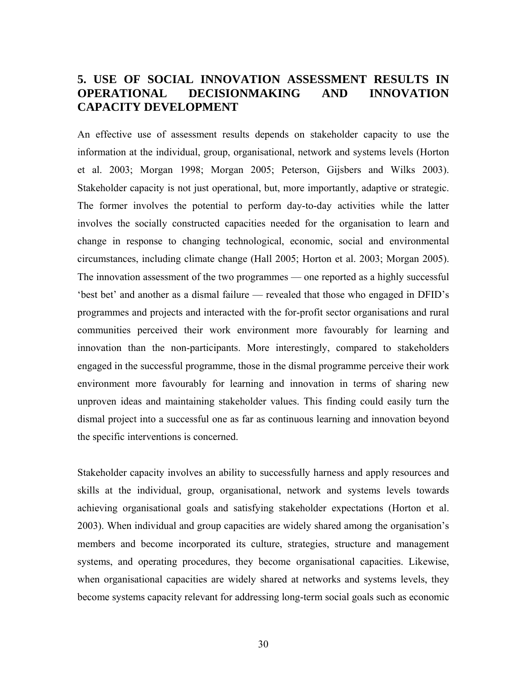# **5. USE OF SOCIAL INNOVATION ASSESSMENT RESULTS IN OPERATIONAL DECISIONMAKING AND INNOVATION CAPACITY DEVELOPMENT**

An effective use of assessment results depends on stakeholder capacity to use the information at the individual, group, organisational, network and systems levels (Horton et al. 2003; Morgan 1998; Morgan 2005; Peterson, Gijsbers and Wilks 2003). Stakeholder capacity is not just operational, but, more importantly, adaptive or strategic. The former involves the potential to perform day-to-day activities while the latter involves the socially constructed capacities needed for the organisation to learn and change in response to changing technological, economic, social and environmental circumstances, including climate change (Hall 2005; Horton et al. 2003; Morgan 2005). The innovation assessment of the two programmes — one reported as a highly successful 'best bet' and another as a dismal failure — revealed that those who engaged in DFID's programmes and projects and interacted with the for-profit sector organisations and rural communities perceived their work environment more favourably for learning and innovation than the non-participants. More interestingly, compared to stakeholders engaged in the successful programme, those in the dismal programme perceive their work environment more favourably for learning and innovation in terms of sharing new unproven ideas and maintaining stakeholder values. This finding could easily turn the dismal project into a successful one as far as continuous learning and innovation beyond the specific interventions is concerned.

Stakeholder capacity involves an ability to successfully harness and apply resources and skills at the individual, group, organisational, network and systems levels towards achieving organisational goals and satisfying stakeholder expectations (Horton et al. 2003). When individual and group capacities are widely shared among the organisation's members and become incorporated its culture, strategies, structure and management systems, and operating procedures, they become organisational capacities. Likewise, when organisational capacities are widely shared at networks and systems levels, they become systems capacity relevant for addressing long-term social goals such as economic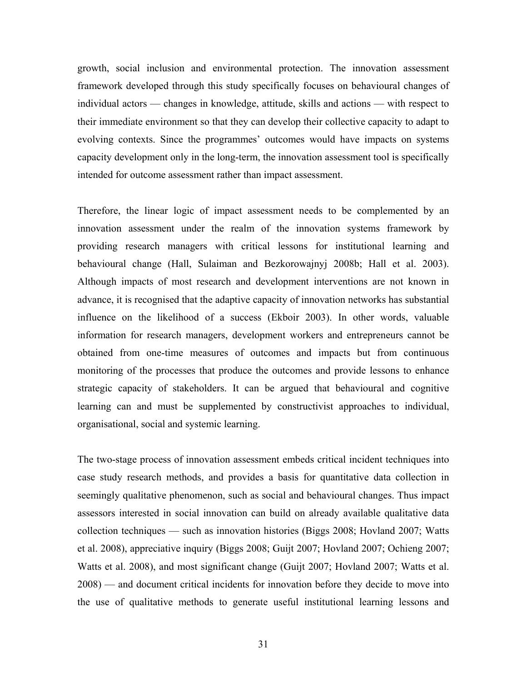growth, social inclusion and environmental protection. The innovation assessment framework developed through this study specifically focuses on behavioural changes of individual actors — changes in knowledge, attitude, skills and actions — with respect to their immediate environment so that they can develop their collective capacity to adapt to evolving contexts. Since the programmes' outcomes would have impacts on systems capacity development only in the long-term, the innovation assessment tool is specifically intended for outcome assessment rather than impact assessment.

Therefore, the linear logic of impact assessment needs to be complemented by an innovation assessment under the realm of the innovation systems framework by providing research managers with critical lessons for institutional learning and behavioural change (Hall, Sulaiman and Bezkorowajnyj 2008b; Hall et al. 2003). Although impacts of most research and development interventions are not known in advance, it is recognised that the adaptive capacity of innovation networks has substantial influence on the likelihood of a success (Ekboir 2003). In other words, valuable information for research managers, development workers and entrepreneurs cannot be obtained from one-time measures of outcomes and impacts but from continuous monitoring of the processes that produce the outcomes and provide lessons to enhance strategic capacity of stakeholders. It can be argued that behavioural and cognitive learning can and must be supplemented by constructivist approaches to individual, organisational, social and systemic learning.

The two-stage process of innovation assessment embeds critical incident techniques into case study research methods, and provides a basis for quantitative data collection in seemingly qualitative phenomenon, such as social and behavioural changes. Thus impact assessors interested in social innovation can build on already available qualitative data collection techniques — such as innovation histories (Biggs 2008; Hovland 2007; Watts et al. 2008), appreciative inquiry (Biggs 2008; Guijt 2007; Hovland 2007; Ochieng 2007; Watts et al. 2008), and most significant change (Guijt 2007; Hovland 2007; Watts et al. 2008) — and document critical incidents for innovation before they decide to move into the use of qualitative methods to generate useful institutional learning lessons and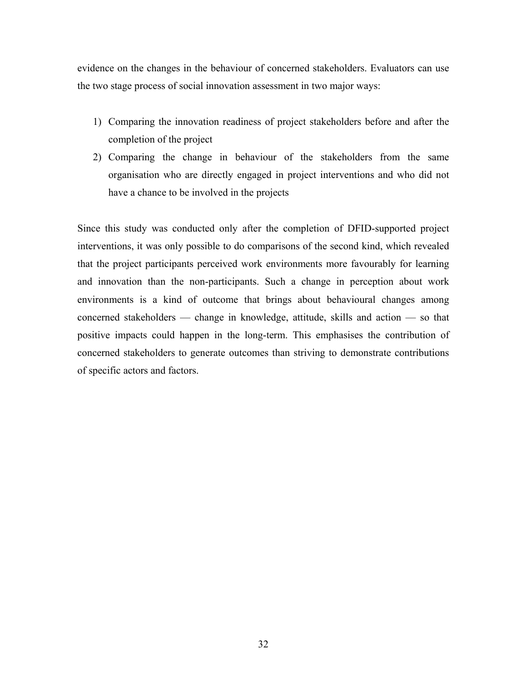evidence on the changes in the behaviour of concerned stakeholders. Evaluators can use the two stage process of social innovation assessment in two major ways:

- 1) Comparing the innovation readiness of project stakeholders before and after the completion of the project
- 2) Comparing the change in behaviour of the stakeholders from the same organisation who are directly engaged in project interventions and who did not have a chance to be involved in the projects

Since this study was conducted only after the completion of DFID-supported project interventions, it was only possible to do comparisons of the second kind, which revealed that the project participants perceived work environments more favourably for learning and innovation than the non-participants. Such a change in perception about work environments is a kind of outcome that brings about behavioural changes among concerned stakeholders — change in knowledge, attitude, skills and action — so that positive impacts could happen in the long-term. This emphasises the contribution of concerned stakeholders to generate outcomes than striving to demonstrate contributions of specific actors and factors.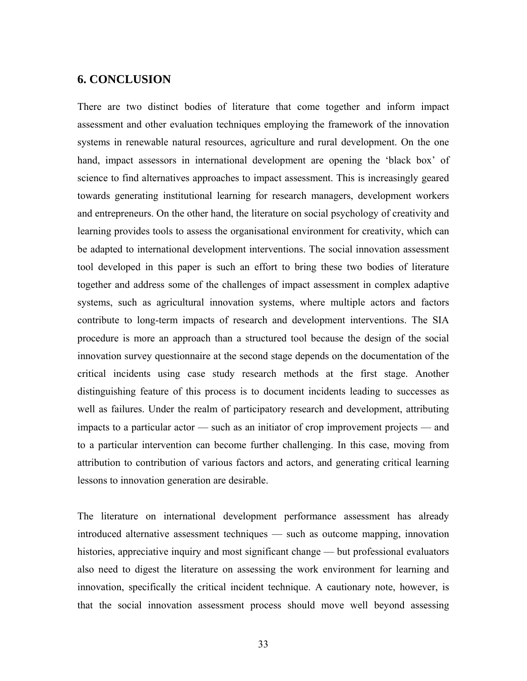# **6. CONCLUSION**

There are two distinct bodies of literature that come together and inform impact assessment and other evaluation techniques employing the framework of the innovation systems in renewable natural resources, agriculture and rural development. On the one hand, impact assessors in international development are opening the 'black box' of science to find alternatives approaches to impact assessment. This is increasingly geared towards generating institutional learning for research managers, development workers and entrepreneurs. On the other hand, the literature on social psychology of creativity and learning provides tools to assess the organisational environment for creativity, which can be adapted to international development interventions. The social innovation assessment tool developed in this paper is such an effort to bring these two bodies of literature together and address some of the challenges of impact assessment in complex adaptive systems, such as agricultural innovation systems, where multiple actors and factors contribute to long-term impacts of research and development interventions. The SIA procedure is more an approach than a structured tool because the design of the social innovation survey questionnaire at the second stage depends on the documentation of the critical incidents using case study research methods at the first stage. Another distinguishing feature of this process is to document incidents leading to successes as well as failures. Under the realm of participatory research and development, attributing impacts to a particular actor — such as an initiator of crop improvement projects — and to a particular intervention can become further challenging. In this case, moving from attribution to contribution of various factors and actors, and generating critical learning lessons to innovation generation are desirable.

The literature on international development performance assessment has already introduced alternative assessment techniques — such as outcome mapping, innovation histories, appreciative inquiry and most significant change — but professional evaluators also need to digest the literature on assessing the work environment for learning and innovation, specifically the critical incident technique. A cautionary note, however, is that the social innovation assessment process should move well beyond assessing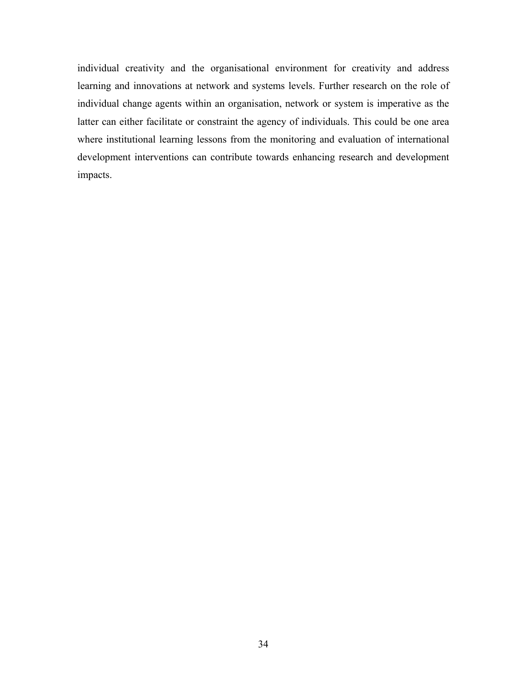individual creativity and the organisational environment for creativity and address learning and innovations at network and systems levels. Further research on the role of individual change agents within an organisation, network or system is imperative as the latter can either facilitate or constraint the agency of individuals. This could be one area where institutional learning lessons from the monitoring and evaluation of international development interventions can contribute towards enhancing research and development impacts.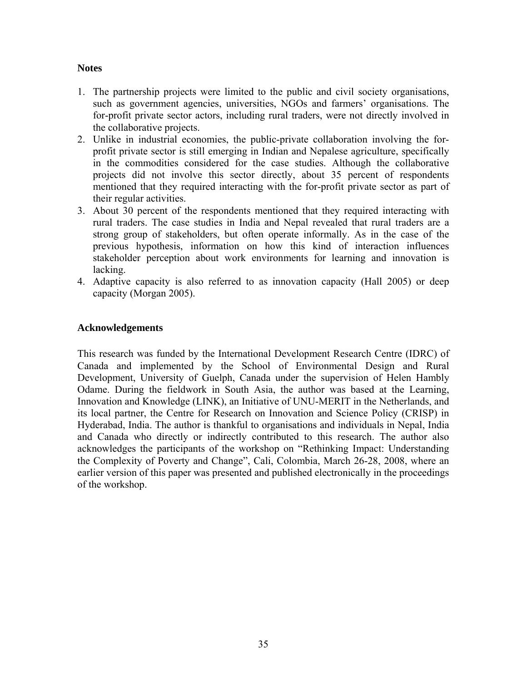# **Notes**

- 1. The partnership projects were limited to the public and civil society organisations, such as government agencies, universities, NGOs and farmers' organisations. The for-profit private sector actors, including rural traders, were not directly involved in the collaborative projects.
- 2. Unlike in industrial economies, the public-private collaboration involving the forprofit private sector is still emerging in Indian and Nepalese agriculture, specifically in the commodities considered for the case studies. Although the collaborative projects did not involve this sector directly, about 35 percent of respondents mentioned that they required interacting with the for-profit private sector as part of their regular activities.
- 3. About 30 percent of the respondents mentioned that they required interacting with rural traders. The case studies in India and Nepal revealed that rural traders are a strong group of stakeholders, but often operate informally. As in the case of the previous hypothesis, information on how this kind of interaction influences stakeholder perception about work environments for learning and innovation is lacking.
- 4. Adaptive capacity is also referred to as innovation capacity (Hall 2005) or deep capacity (Morgan 2005).

### **Acknowledgements**

This research was funded by the International Development Research Centre (IDRC) of Canada and implemented by the School of Environmental Design and Rural Development, University of Guelph, Canada under the supervision of Helen Hambly Odame. During the fieldwork in South Asia, the author was based at the Learning, Innovation and Knowledge (LINK), an Initiative of UNU-MERIT in the Netherlands, and its local partner, the Centre for Research on Innovation and Science Policy (CRISP) in Hyderabad, India. The author is thankful to organisations and individuals in Nepal, India and Canada who directly or indirectly contributed to this research. The author also acknowledges the participants of the workshop on "Rethinking Impact: Understanding the Complexity of Poverty and Change", Cali, Colombia, March 26-28, 2008, where an earlier version of this paper was presented and published electronically in the proceedings of the workshop.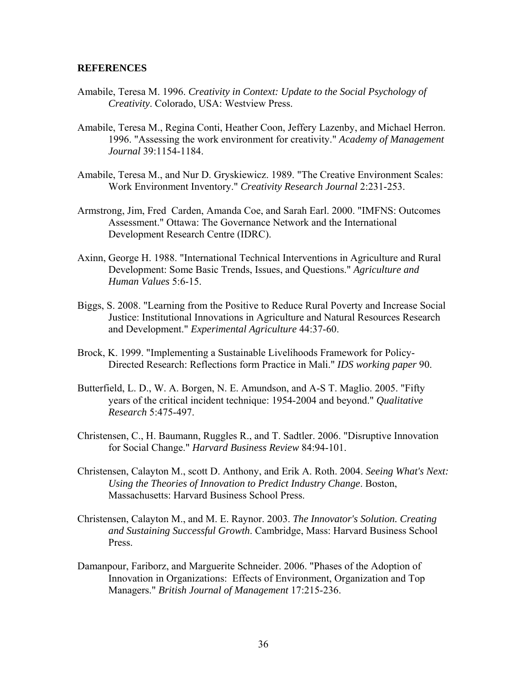#### **REFERENCES**

- Amabile, Teresa M. 1996. *Creativity in Context: Update to the Social Psychology of Creativity*. Colorado, USA: Westview Press.
- Amabile, Teresa M., Regina Conti, Heather Coon, Jeffery Lazenby, and Michael Herron. 1996. "Assessing the work environment for creativity." *Academy of Management Journal* 39:1154-1184.
- Amabile, Teresa M., and Nur D. Gryskiewicz. 1989. "The Creative Environment Scales: Work Environment Inventory." *Creativity Research Journal* 2:231-253.
- Armstrong, Jim, Fred Carden, Amanda Coe, and Sarah Earl. 2000. "IMFNS: Outcomes Assessment." Ottawa: The Governance Network and the International Development Research Centre (IDRC).
- Axinn, George H. 1988. "International Technical Interventions in Agriculture and Rural Development: Some Basic Trends, Issues, and Questions." *Agriculture and Human Values* 5:6-15.
- Biggs, S. 2008. "Learning from the Positive to Reduce Rural Poverty and Increase Social Justice: Institutional Innovations in Agriculture and Natural Resources Research and Development." *Experimental Agriculture* 44:37-60.
- Brock, K. 1999. "Implementing a Sustainable Livelihoods Framework for Policy-Directed Research: Reflections form Practice in Mali." *IDS working paper* 90.
- Butterfield, L. D., W. A. Borgen, N. E. Amundson, and A-S T. Maglio. 2005. "Fifty years of the critical incident technique: 1954-2004 and beyond." *Qualitative Research* 5:475-497.
- Christensen, C., H. Baumann, Ruggles R., and T. Sadtler. 2006. "Disruptive Innovation for Social Change." *Harvard Business Review* 84:94-101.
- Christensen, Calayton M., scott D. Anthony, and Erik A. Roth. 2004. *Seeing What's Next: Using the Theories of Innovation to Predict Industry Change*. Boston, Massachusetts: Harvard Business School Press.
- Christensen, Calayton M., and M. E. Raynor. 2003. *The Innovator's Solution. Creating and Sustaining Successful Growth*. Cambridge, Mass: Harvard Business School Press.
- Damanpour, Fariborz, and Marguerite Schneider. 2006. "Phases of the Adoption of Innovation in Organizations: Effects of Environment, Organization and Top Managers." *British Journal of Management* 17:215-236.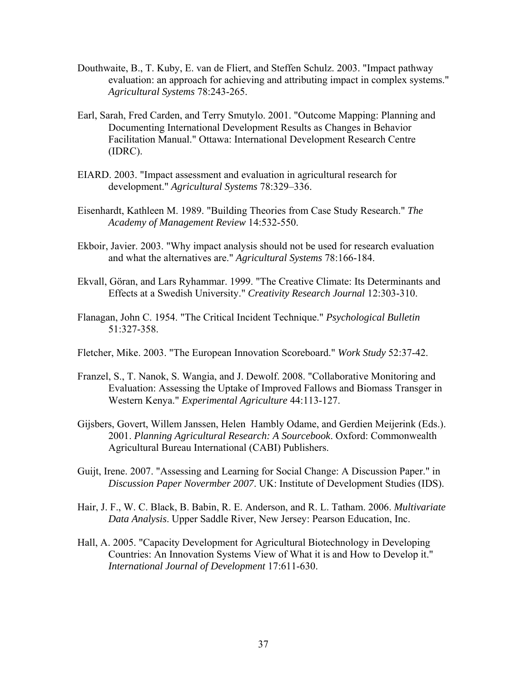- Douthwaite, B., T. Kuby, E. van de Fliert, and Steffen Schulz. 2003. "Impact pathway evaluation: an approach for achieving and attributing impact in complex systems." *Agricultural Systems* 78:243-265.
- Earl, Sarah, Fred Carden, and Terry Smutylo. 2001. "Outcome Mapping: Planning and Documenting International Development Results as Changes in Behavior Facilitation Manual." Ottawa: International Development Research Centre (IDRC).
- EIARD. 2003. "Impact assessment and evaluation in agricultural research for development." *Agricultural Systems* 78:329–336.
- Eisenhardt, Kathleen M. 1989. "Building Theories from Case Study Research." *The Academy of Management Review* 14:532-550.
- Ekboir, Javier. 2003. "Why impact analysis should not be used for research evaluation and what the alternatives are." *Agricultural Systems* 78:166-184.
- Ekvall, Göran, and Lars Ryhammar. 1999. "The Creative Climate: Its Determinants and Effects at a Swedish University." *Creativity Research Journal* 12:303-310.
- Flanagan, John C. 1954. "The Critical Incident Technique." *Psychological Bulletin* 51:327-358.
- Fletcher, Mike. 2003. "The European Innovation Scoreboard." *Work Study* 52:37-42.
- Franzel, S., T. Nanok, S. Wangia, and J. Dewolf. 2008. "Collaborative Monitoring and Evaluation: Assessing the Uptake of Improved Fallows and Biomass Transger in Western Kenya." *Experimental Agriculture* 44:113-127.
- Gijsbers, Govert, Willem Janssen, Helen Hambly Odame, and Gerdien Meijerink (Eds.). 2001. *Planning Agricultural Research: A Sourcebook*. Oxford: Commonwealth Agricultural Bureau International (CABI) Publishers.
- Guijt, Irene. 2007. "Assessing and Learning for Social Change: A Discussion Paper." in *Discussion Paper Novermber 2007*. UK: Institute of Development Studies (IDS).
- Hair, J. F., W. C. Black, B. Babin, R. E. Anderson, and R. L. Tatham. 2006. *Multivariate Data Analysis*. Upper Saddle River, New Jersey: Pearson Education, Inc.
- Hall, A. 2005. "Capacity Development for Agricultural Biotechnology in Developing Countries: An Innovation Systems View of What it is and How to Develop it." *International Journal of Development* 17:611-630.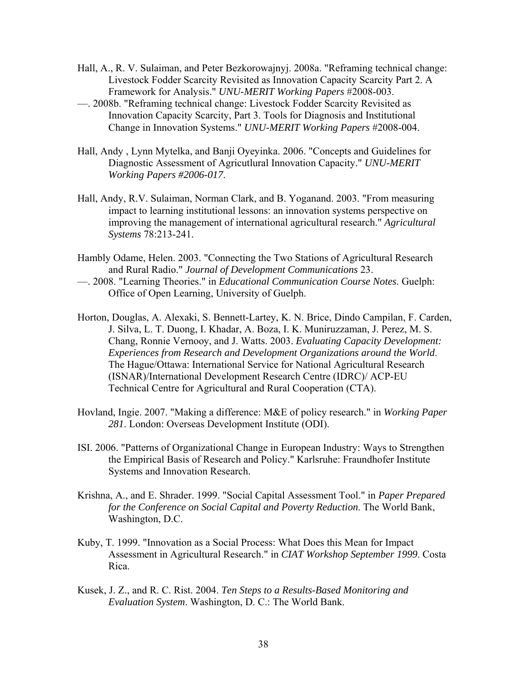- Hall, A., R. V. Sulaiman, and Peter Bezkorowajnyj. 2008a. "Reframing technical change: Livestock Fodder Scarcity Revisited as Innovation Capacity Scarcity Part 2. A Framework for Analysis." *UNU-MERIT Working Papers* #2008-003.
- —. 2008b. "Reframing technical change: Livestock Fodder Scarcity Revisited as Innovation Capacity Scarcity, Part 3. Tools for Diagnosis and Institutional Change in Innovation Systems." *UNU-MERIT Working Papers* #2008-004.
- Hall, Andy , Lynn Mytelka, and Banji Oyeyinka. 2006. "Concepts and Guidelines for Diagnostic Assessment of Agricutlural Innovation Capacity." *UNU-MERIT Working Papers #2006-017*.
- Hall, Andy, R.V. Sulaiman, Norman Clark, and B. Yoganand. 2003. "From measuring impact to learning institutional lessons: an innovation systems perspective on improving the management of international agricultural research." *Agricultural Systems* 78:213-241.
- Hambly Odame, Helen. 2003. "Connecting the Two Stations of Agricultural Research and Rural Radio." *Journal of Development Communications* 23.
- —. 2008. "Learning Theories." in *Educational Communication Course Notes*. Guelph: Office of Open Learning, University of Guelph.
- Horton, Douglas, A. Alexaki, S. Bennett-Lartey, K. N. Brice, Dindo Campilan, F. Carden, J. Silva, L. T. Duong, I. Khadar, A. Boza, I. K. Muniruzzaman, J. Perez, M. S. Chang, Ronnie Vernooy, and J. Watts. 2003. *Evaluating Capacity Development: Experiences from Research and Development Organizations around the World*. The Hague/Ottawa: International Service for National Agricultural Research (ISNAR)/International Development Research Centre (IDRC)/ ACP-EU Technical Centre for Agricultural and Rural Cooperation (CTA).
- Hovland, Ingie. 2007. "Making a difference: M&E of policy research." in *Working Paper 281*. London: Overseas Development Institute (ODI).
- ISI. 2006. "Patterns of Organizational Change in European Industry: Ways to Strengthen the Empirical Basis of Research and Policy." Karlsruhe: Fraundhofer Institute Systems and Innovation Research.
- Krishna, A., and E. Shrader. 1999. "Social Capital Assessment Tool." in *Paper Prepared for the Conference on Social Capital and Poverty Reduction*. The World Bank, Washington, D.C.
- Kuby, T. 1999. "Innovation as a Social Process: What Does this Mean for Impact Assessment in Agricultural Research." in *CIAT Workshop September 1999*. Costa Rica.
- Kusek, J. Z., and R. C. Rist. 2004. *Ten Steps to a Results-Based Monitoring and Evaluation System*. Washington, D. C.: The World Bank.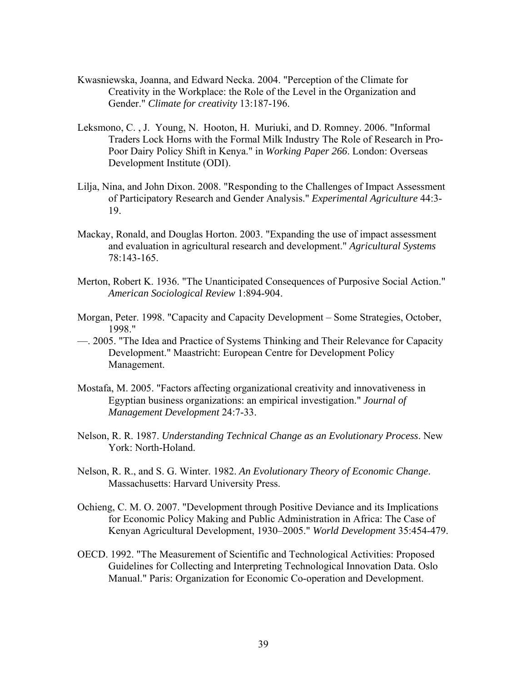- Kwasniewska, Joanna, and Edward Necka. 2004. "Perception of the Climate for Creativity in the Workplace: the Role of the Level in the Organization and Gender." *Climate for creativity* 13:187-196.
- Leksmono, C. , J. Young, N. Hooton, H. Muriuki, and D. Romney. 2006. "Informal Traders Lock Horns with the Formal Milk Industry The Role of Research in Pro-Poor Dairy Policy Shift in Kenya." in *Working Paper 266*. London: Overseas Development Institute (ODI).
- Lilja, Nina, and John Dixon. 2008. "Responding to the Challenges of Impact Assessment of Participatory Research and Gender Analysis." *Experimental Agriculture* 44:3- 19.
- Mackay, Ronald, and Douglas Horton. 2003. "Expanding the use of impact assessment and evaluation in agricultural research and development." *Agricultural Systems* 78:143-165.
- Merton, Robert K. 1936. "The Unanticipated Consequences of Purposive Social Action." *American Sociological Review* 1:894-904.
- Morgan, Peter. 1998. "Capacity and Capacity Development Some Strategies, October, 1998."
- —. 2005. "The Idea and Practice of Systems Thinking and Their Relevance for Capacity Development." Maastricht: European Centre for Development Policy Management.
- Mostafa, M. 2005. "Factors affecting organizational creativity and innovativeness in Egyptian business organizations: an empirical investigation." *Journal of Management Development* 24:7-33.
- Nelson, R. R. 1987. *Understanding Technical Change as an Evolutionary Process*. New York: North-Holand.
- Nelson, R. R., and S. G. Winter. 1982. *An Evolutionary Theory of Economic Change*. Massachusetts: Harvard University Press.
- Ochieng, C. M. O. 2007. "Development through Positive Deviance and its Implications for Economic Policy Making and Public Administration in Africa: The Case of Kenyan Agricultural Development, 1930–2005." *World Development* 35:454-479.
- OECD. 1992. "The Measurement of Scientific and Technological Activities: Proposed Guidelines for Collecting and Interpreting Technological Innovation Data. Oslo Manual." Paris: Organization for Economic Co-operation and Development.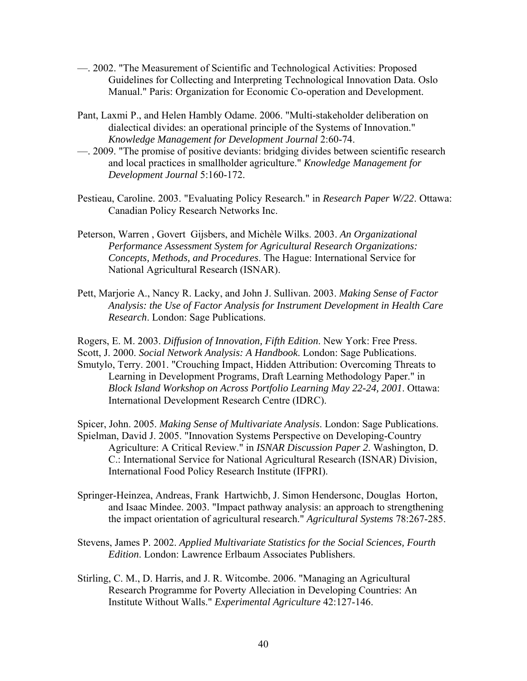- —. 2002. "The Measurement of Scientific and Technological Activities: Proposed Guidelines for Collecting and Interpreting Technological Innovation Data. Oslo Manual." Paris: Organization for Economic Co-operation and Development.
- Pant, Laxmi P., and Helen Hambly Odame. 2006. "Multi-stakeholder deliberation on dialectical divides: an operational principle of the Systems of Innovation." *Knowledge Management for Development Journal* 2:60-74.
- —. 2009. "The promise of positive deviants: bridging divides between scientific research and local practices in smallholder agriculture." *Knowledge Management for Development Journal* 5:160-172.
- Pestieau, Caroline. 2003. "Evaluating Policy Research." in *Research Paper W/22*. Ottawa: Canadian Policy Research Networks Inc.
- Peterson, Warren , Govert Gijsbers, and Michèle Wilks. 2003. *An Organizational Performance Assessment System for Agricultural Research Organizations: Concepts, Methods, and Procedures*. The Hague: International Service for National Agricultural Research (ISNAR).
- Pett, Marjorie A., Nancy R. Lacky, and John J. Sullivan. 2003. *Making Sense of Factor Analysis: the Use of Factor Analysis for Instrument Development in Health Care Research*. London: Sage Publications.

Rogers, E. M. 2003. *Diffusion of Innovation, Fifth Edition*. New York: Free Press. Scott, J. 2000. *Social Network Analysis: A Handbook*. London: Sage Publications. Smutylo, Terry. 2001. "Crouching Impact, Hidden Attribution: Overcoming Threats to Learning in Development Programs, Draft Learning Methodology Paper." in *Block Island Workshop on Across Portfolio Learning May 22-24, 2001*. Ottawa: International Development Research Centre (IDRC).

Spicer, John. 2005. *Making Sense of Multivariate Analysis*. London: Sage Publications. Spielman, David J. 2005. "Innovation Systems Perspective on Developing-Country Agriculture: A Critical Review." in *ISNAR Discussion Paper 2*. Washington, D. C.: International Service for National Agricultural Research (ISNAR) Division, International Food Policy Research Institute (IFPRI).

- Springer-Heinzea, Andreas, Frank Hartwichb, J. Simon Hendersonc, Douglas Horton, and Isaac Mindee. 2003. "Impact pathway analysis: an approach to strengthening the impact orientation of agricultural research." *Agricultural Systems* 78:267-285.
- Stevens, James P. 2002. *Applied Multivariate Statistics for the Social Sciences, Fourth Edition*. London: Lawrence Erlbaum Associates Publishers.
- Stirling, C. M., D. Harris, and J. R. Witcombe. 2006. "Managing an Agricultural Research Programme for Poverty Alleciation in Developing Countries: An Institute Without Walls." *Experimental Agriculture* 42:127-146.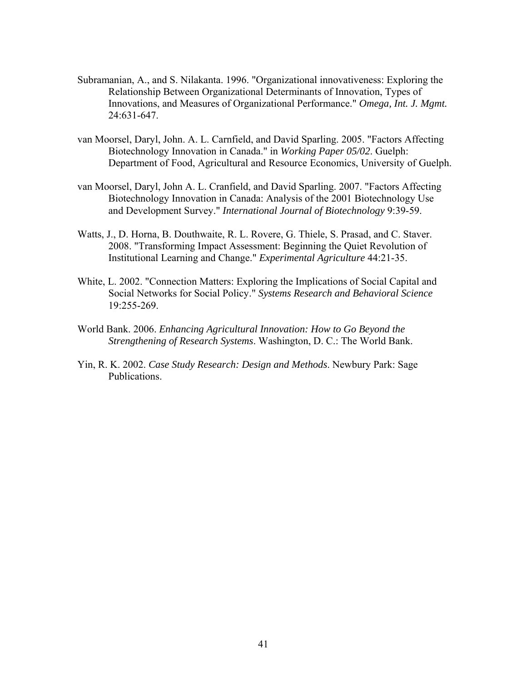- Subramanian, A., and S. Nilakanta. 1996. "Organizational innovativeness: Exploring the Relationship Between Organizational Determinants of Innovation, Types of Innovations, and Measures of Organizational Performance." *Omega, Int. J. Mgmt.* 24:631-647.
- van Moorsel, Daryl, John. A. L. Carnfield, and David Sparling. 2005. "Factors Affecting Biotechnology Innovation in Canada." in *Working Paper 05/02*. Guelph: Department of Food, Agricultural and Resource Economics, University of Guelph.
- van Moorsel, Daryl, John A. L. Cranfield, and David Sparling. 2007. "Factors Affecting Biotechnology Innovation in Canada: Analysis of the 2001 Biotechnology Use and Development Survey." *International Journal of Biotechnology* 9:39-59.
- Watts, J., D. Horna, B. Douthwaite, R. L. Rovere, G. Thiele, S. Prasad, and C. Staver. 2008. "Transforming Impact Assessment: Beginning the Quiet Revolution of Institutional Learning and Change." *Experimental Agriculture* 44:21-35.
- White, L. 2002. "Connection Matters: Exploring the Implications of Social Capital and Social Networks for Social Policy." *Systems Research and Behavioral Science* 19:255-269.
- World Bank. 2006. *Enhancing Agricultural Innovation: How to Go Beyond the Strengthening of Research Systems*. Washington, D. C.: The World Bank.
- Yin, R. K. 2002. *Case Study Research: Design and Methods*. Newbury Park: Sage Publications.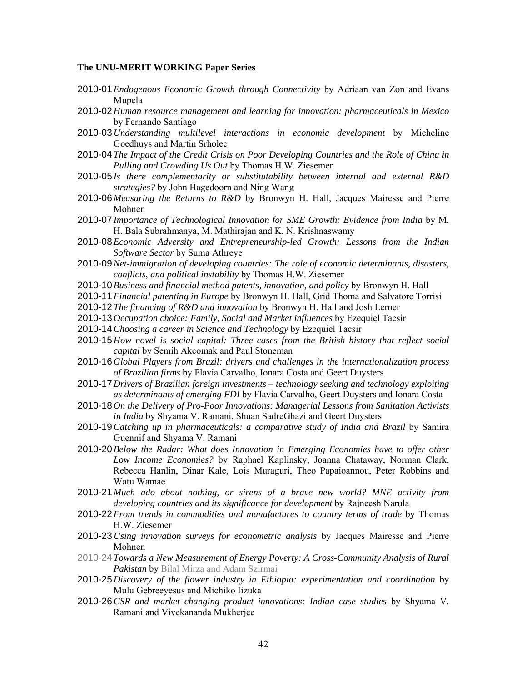#### **The UNU-MERIT WORKING Paper Series**

- 2010-01 *Endogenous Economic Growth through Connectivity* by Adriaan van Zon and Evans Mupela
- 2010-02 *Human resource management and learning for innovation: pharmaceuticals in Mexico*  by Fernando Santiago
- 2010-03 *Understanding multilevel interactions in economic development* by Micheline Goedhuys and Martin Srholec
- 2010-04 *The Impact of the Credit Crisis on Poor Developing Countries and the Role of China in Pulling and Crowding Us Out* by Thomas H.W. Ziesemer
- 2010-05 *Is there complementarity or substitutability between internal and external R&D strategies?* by John Hagedoorn and Ning Wang
- 2010-06 *Measuring the Returns to R&D* by Bronwyn H. Hall, Jacques Mairesse and Pierre Mohnen
- 2010-07 *Importance of Technological Innovation for SME Growth: Evidence from India* by M. H. Bala Subrahmanya, M. Mathirajan and K. N. Krishnaswamy
- 2010-08 *Economic Adversity and Entrepreneurship-led Growth: Lessons from the Indian Software Sector* by Suma Athreye
- 2010-09 *Net-immigration of developing countries: The role of economic determinants, disasters, conflicts, and political instability* by Thomas H.W. Ziesemer
- 2010-10 *Business and financial method patents, innovation, and policy* by Bronwyn H. Hall
- 2010-11 *Financial patenting in Europe* by Bronwyn H. Hall, Grid Thoma and Salvatore Torrisi
- 2010-12 *The financing of R&D and innovation* by Bronwyn H. Hall and Josh Lerner
- 2010-13 *Occupation choice: Family, Social and Market influences* by Ezequiel Tacsir
- 2010-14 *Choosing a career in Science and Technology* by Ezequiel Tacsir
- 2010-15 *How novel is social capital: Three cases from the British history that reflect social capital* by Semih Akcomak and Paul Stoneman
- 2010-16 *Global Players from Brazil: drivers and challenges in the internationalization process of Brazilian firms* by Flavia Carvalho, Ionara Costa and Geert Duysters
- 2010-17 *Drivers of Brazilian foreign investments technology seeking and technology exploiting as determinants of emerging FDI* by Flavia Carvalho, Geert Duysters and Ionara Costa
- 2010-18 *On the Delivery of Pro-Poor Innovations: Managerial Lessons from Sanitation Activists in India* by Shyama V. Ramani, Shuan SadreGhazi and Geert Duysters
- 2010-19 *Catching up in pharmaceuticals: a comparative study of India and Brazil* by Samira Guennif and Shyama V. Ramani
- 2010-20 *Below the Radar: What does Innovation in Emerging Economies have to offer other Low Income Economies?* by Raphael Kaplinsky, Joanna Chataway, Norman Clark, Rebecca Hanlin, Dinar Kale, Lois Muraguri, Theo Papaioannou, Peter Robbins and Watu Wamae
- 2010-21 *Much ado about nothing, or sirens of a brave new world? MNE activity from developing countries and its significance for development* by Rajneesh Narula
- 2010-22 *From trends in commodities and manufactures to country terms of trade* by Thomas H.W. Ziesemer
- 2010-23 *Using innovation surveys for econometric analysis* by Jacques Mairesse and Pierre Mohnen
- 2010-24 *Towards a New Measurement of Energy Poverty: A Cross-Community Analysis of Rural Pakistan* by Bilal Mirza and Adam Szirmai
- 2010-25 *Discovery of the flower industry in Ethiopia: experimentation and coordination* by Mulu Gebreeyesus and Michiko Iizuka
- 2010-26 *CSR and market changing product innovations: Indian case studies* by Shyama V. Ramani and Vivekananda Mukherjee